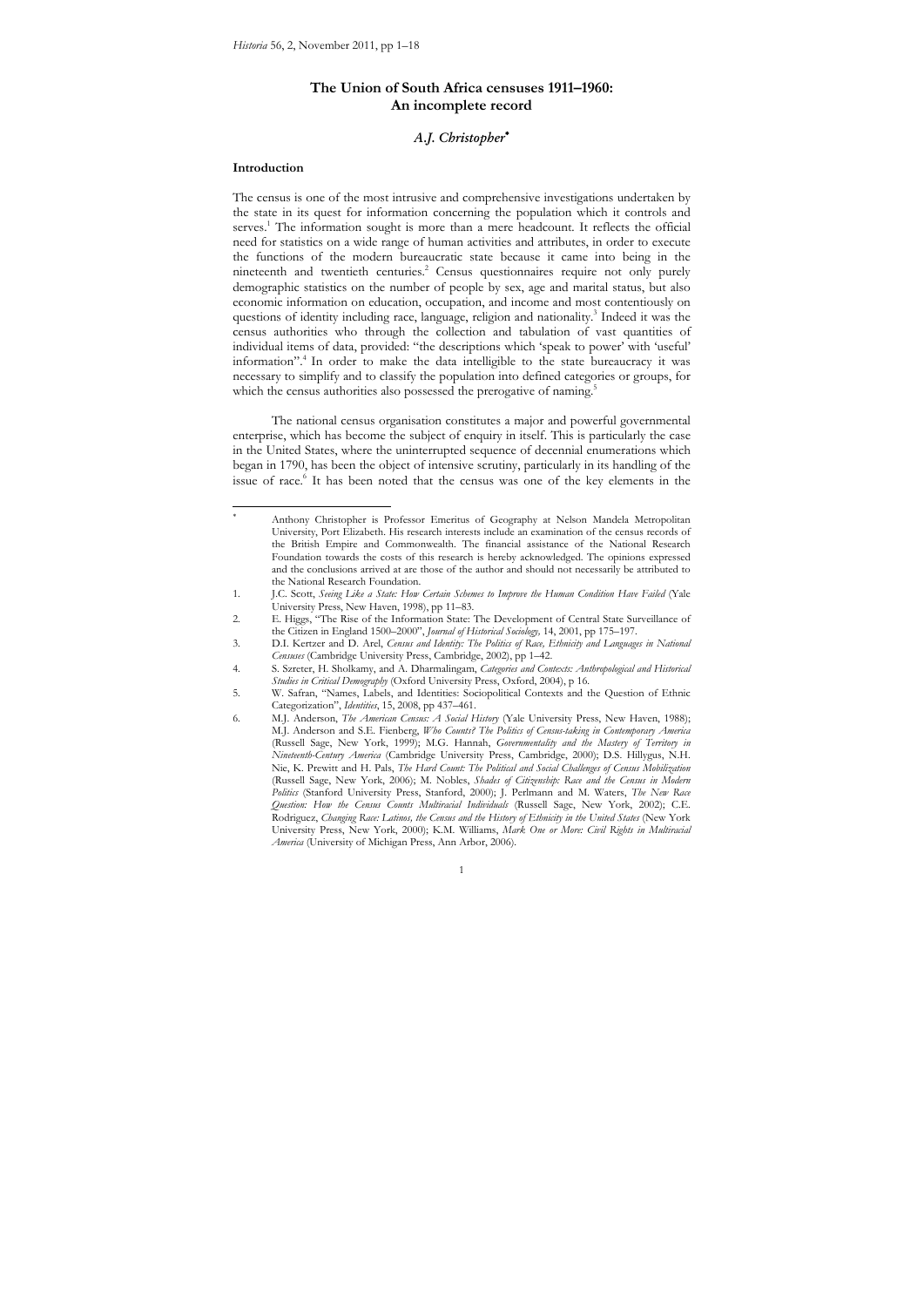# **The Union of South Africa censuses 1911–1960: An incomplete record**

# *A.J. Christopher*

#### **Introduction**

 $\overline{a}$ 18

The census is one of the most intrusive and comprehensive investigations undertaken by the state in its quest for information concerning the population which it controls and serves.<sup>1</sup> The information sought is more than a mere headcount. It reflects the official need for statistics on a wide range of human activities and attributes, in order to execute the functions of the modern bureaucratic state because it came into being in the nineteenth and twentieth centuries.<sup>2</sup> Census questionnaires require not only purely demographic statistics on the number of people by sex, age and marital status, but also economic information on education, occupation, and income and most contentiously on questions of identity including race, language, religion and nationality.<sup>3</sup> Indeed it was the census authorities who through the collection and tabulation of vast quantities of individual items of data, provided: "the descriptions which 'speak to power' with 'useful' information".4 In order to make the data intelligible to the state bureaucracy it was necessary to simplify and to classify the population into defined categories or groups, for which the census authorities also possessed the prerogative of naming.

The national census organisation constitutes a major and powerful governmental enterprise, which has become the subject of enquiry in itself. This is particularly the case in the United States, where the uninterrupted sequence of decennial enumerations which began in 1790, has been the object of intensive scrutiny, particularly in its handling of the issue of race.<sup>6</sup> It has been noted that the census was one of the key elements in the

Anthony Christopher is Professor Emeritus of Geography at Nelson Mandela Metropolitan University, Port Elizabeth. His research interests include an examination of the census records of the British Empire and Commonwealth. The financial assistance of the National Research Foundation towards the costs of this research is hereby acknowledged. The opinions expressed and the conclusions arrived at are those of the author and should not necessarily be attributed to the National Research Foundation.

<sup>1.</sup> J.C. Scott, *Seeing Like a State: How Certain Schemes to Improve the Human Condition Have Failed* (Yale University Press, New Haven, 1998), pp 11–83.

<sup>2.</sup> E. Higgs, "The Rise of the Information State: The Development of Central State Surveillance of the Citizen in England 1500–2000", *Journal of Historical Sociology,* 14, 2001, pp 175–197.

<sup>3.</sup> D.I. Kertzer and D. Arel, *Census and Identity: The Politics of Race, Ethnicity and Languages in National Censuses* (Cambridge University Press, Cambridge, 2002), pp 1–42.

<sup>4.</sup> S. Szreter, H. Sholkamy, and A. Dharmalingam, *Categories and Contexts: Anthropological and Historical Studies in Critical Demography* (Oxford University Press, Oxford, 2004), p 16.

<sup>5.</sup> W. Safran, "Names, Labels, and Identities: Sociopolitical Contexts and the Question of Ethnic Categorization", *Identities*, 15, 2008, pp 437–461.

<sup>6.</sup> M.J. Anderson, *The American Census: A Social History* (Yale University Press, New Haven, 1988); M.J. Anderson and S.E. Fienberg, *Who Counts? The Politics of Census-taking in Contemporary America* (Russell Sage, New York, 1999); M.G. Hannah, *Governmentality and the Mastery of Territory in Nineteenth-Century America* (Cambridge University Press, Cambridge, 2000); D.S. Hillygus, N.H. Nie, K. Prewitt and H. Pals, *The Hard Count: The Political and Social Challenges of Census Mobilization* (Russell Sage, New York, 2006); M. Nobles, *Shades of Citizenship: Race and the Census in Modern Politics* (Stanford University Press, Stanford, 2000); J. Perlmann and M. Waters, *The New Race Question: How the Census Counts Multiracial Individuals* (Russell Sage, New York, 2002); C.E. Rodriguez, *Changing Race: Latinos, the Census and the History of Ethnicity in the United States* (New York University Press, New York, 2000); K.M. Williams, *Mark One or More: Civil Rights in Multiracial America* (University of Michigan Press, Ann Arbor, 2006).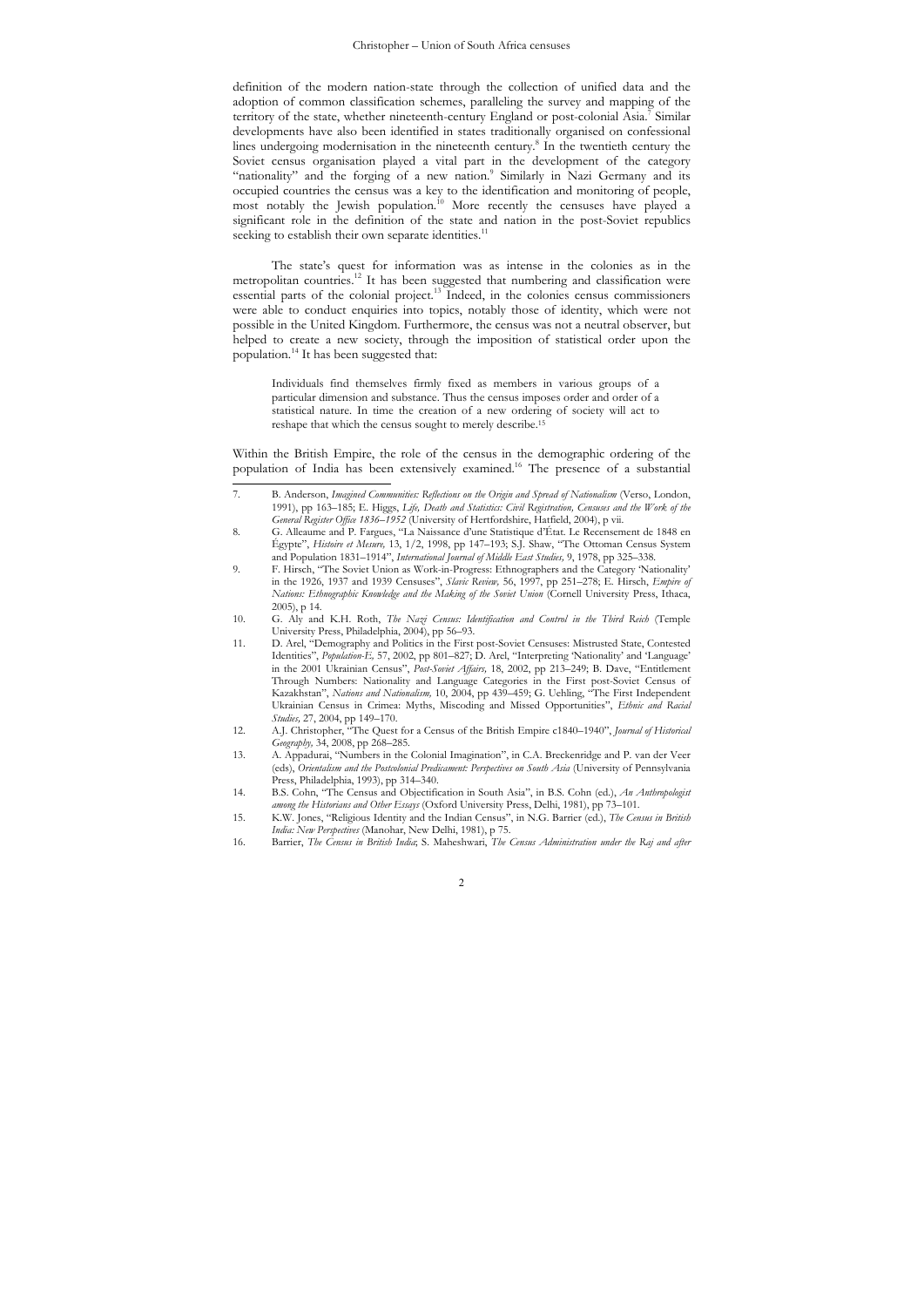definition of the modern nation-state through the collection of unified data and the adoption of common classification schemes, paralleling the survey and mapping of the territory of the state, whether nineteenth-century England or post-colonial Asia.<sup>7</sup> Similar developments have also been identified in states traditionally organised on confessional lines undergoing modernisation in the nineteenth century.<sup>8</sup> In the twentieth century the Soviet census organisation played a vital part in the development of the category "nationality" and the forging of a new nation.<sup>9</sup> Similarly in Nazi Germany and its occupied countries the census was a key to the identification and monitoring of people, most notably the Jewish population.<sup>10</sup> More recently the censuses have played a significant role in the definition of the state and nation in the post-Soviet republics seeking to establish their own separate identities.<sup>11</sup>

The state's quest for information was as intense in the colonies as in the metropolitan countries.12 It has been suggested that numbering and classification were essential parts of the colonial project.13 Indeed, in the colonies census commissioners were able to conduct enquiries into topics, notably those of identity, which were not possible in the United Kingdom. Furthermore, the census was not a neutral observer, but helped to create a new society, through the imposition of statistical order upon the population.14 It has been suggested that:

Individuals find themselves firmly fixed as members in various groups of a particular dimension and substance. Thus the census imposes order and order of a statistical nature. In time the creation of a new ordering of society will act to reshape that which the census sought to merely describe.15

Within the British Empire, the role of the census in the demographic ordering of the population of India has been extensively examined.16 The presence of a substantial

11. D. Arel, "Demography and Politics in the First post-Soviet Censuses: Mistrusted State, Contested Identities", *Population-E,* 57, 2002, pp 801–827; D. Arel, "Interpreting 'Nationality' and 'Language' in the 2001 Ukrainian Census", *Post-Soviet Affairs,* 18, 2002, pp 213–249; B. Dave, "Entitlement Through Numbers: Nationality and Language Categories in the First post-Soviet Census of Kazakhstan", *Nations and Nationalism,* 10, 2004, pp 439–459; G. Uehling, "The First Independent Ukrainian Census in Crimea: Myths, Miscoding and Missed Opportunities", *Ethnic and Racial Studies,* 27, 2004, pp 149–170.

 $\overline{2}$ 

 $\overline{7}$ 7. B. Anderson, *Imagined Communities: Reflections on the Origin and Spread of Nationalism* (Verso, London, 1991), pp 163–185; E. Higgs, *Life, Death and Statistics: Civil Registration, Censuses and the Work of the General Register Office 1836*–*1952* (University of Hertfordshire, Hatfield, 2004), p vii.

<sup>8.</sup> G. Alleaume and P. Fargues, "La Naissance d'une Statistique d'État. Le Recensement de 1848 en Égypte", *Histoire et Mesure,* 13, 1/2, 1998, pp 147–193; S.J. Shaw, "The Ottoman Census System and Population 1831–1914", *International Journal of Middle East Studies,* 9, 1978, pp 325–338.

<sup>9.</sup> F. Hirsch, "The Soviet Union as Work-in-Progress: Ethnographers and the Category 'Nationality' in the 1926, 1937 and 1939 Censuses", *Slavic Review,* 56, 1997, pp 251–278; E. Hirsch, *Empire of Nations: Ethnographic Knowledge and the Making of the Soviet Union* (Cornell University Press, Ithaca, 2005), p 14.

<sup>10.</sup> G. Aly and K.H. Roth, *The Nazi Census: Identification and Control in the Third Reich* (Temple University Press, Philadelphia, 2004), pp 56–93.

<sup>12.</sup> A.J. Christopher, "The Quest for a Census of the British Empire c1840–1940", *Journal of Historical Geography,* 34, 2008, pp 268–285.

<sup>13.</sup> A. Appadurai, "Numbers in the Colonial Imagination", in C.A. Breckenridge and P. van der Veer (eds), *Orientalism and the Postcolonial Predicament: Perspectives on South Asia* (University of Pennsylvania Press, Philadelphia, 1993), pp 314–340.

<sup>14.</sup> B.S. Cohn, "The Census and Objectification in South Asia", in B.S. Cohn (ed.), *An Anthropologist among the Historians and Other Essays* (Oxford University Press, Delhi, 1981), pp 73–101.

<sup>15.</sup> K.W. Jones, "Religious Identity and the Indian Census", in N.G. Barrier (ed.), *The Census in British India: New Perspectives* (Manohar, New Delhi, 1981), p 75.

<sup>16.</sup> Barrier, *The Census in British India*; S. Maheshwari, *The Census Administration under the Raj and after*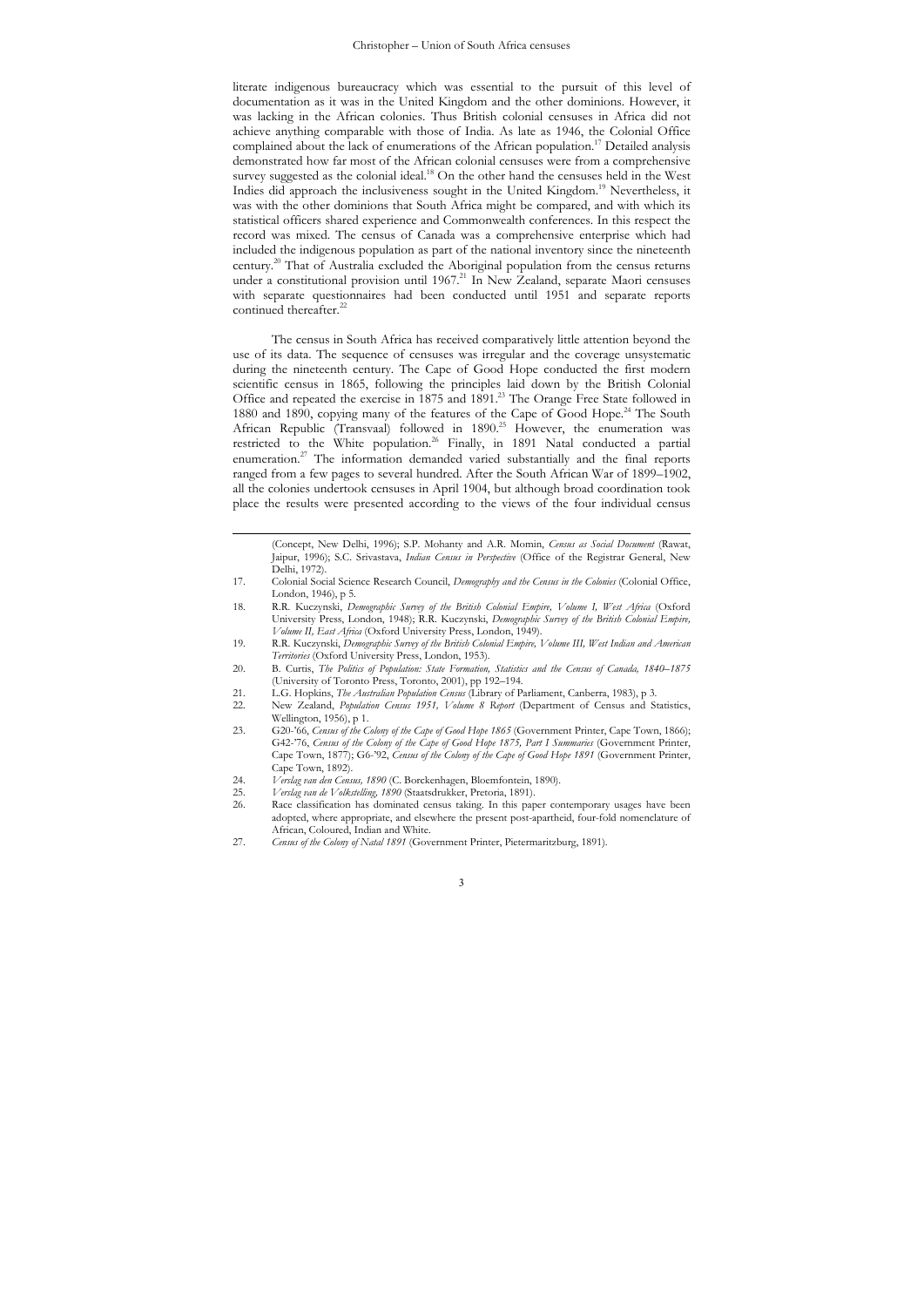literate indigenous bureaucracy which was essential to the pursuit of this level of documentation as it was in the United Kingdom and the other dominions. However, it was lacking in the African colonies. Thus British colonial censuses in Africa did not achieve anything comparable with those of India. As late as 1946, the Colonial Office complained about the lack of enumerations of the African population.17 Detailed analysis demonstrated how far most of the African colonial censuses were from a comprehensive survey suggested as the colonial ideal.<sup>18</sup> On the other hand the censuses held in the West Indies did approach the inclusiveness sought in the United Kingdom.<sup>19</sup> Nevertheless, it was with the other dominions that South Africa might be compared, and with which its statistical officers shared experience and Commonwealth conferences. In this respect the record was mixed. The census of Canada was a comprehensive enterprise which had included the indigenous population as part of the national inventory since the nineteenth century.20 That of Australia excluded the Aboriginal population from the census returns under a constitutional provision until 1967.<sup>21</sup> In New Zealand, separate Maori censuses with separate questionnaires had been conducted until 1951 and separate reports continued thereafter.<sup>22</sup>

The census in South Africa has received comparatively little attention beyond the use of its data. The sequence of censuses was irregular and the coverage unsystematic during the nineteenth century. The Cape of Good Hope conducted the first modern scientific census in 1865, following the principles laid down by the British Colonial Office and repeated the exercise in 1875 and 1891.<sup>23</sup> The Orange Free State followed in 1880 and 1890, copying many of the features of the Cape of Good Hope.<sup>24</sup> The South African Republic (Transvaal) followed in 1890.<sup>25</sup> However, the enumeration was restricted to the White population.<sup>26</sup> Finally, in 1891 Natal conducted a partial enumeration.<sup>27</sup> The information demanded varied substantially and the final reports ranged from a few pages to several hundred. After the South African War of 1899–1902, all the colonies undertook censuses in April 1904, but although broad coordination took place the results were presented according to the views of the four individual census

(Concept, New Delhi, 1996); S.P. Mohanty and A.R. Momin, *Census as Social Document* (Rawat, Jaipur, 1996); S.C. Srivastava, *Indian Census in Perspective* (Office of the Registrar General, New Delhi, 1972).

- 17. Colonial Social Science Research Council, *Demography and the Census in the Colonies* (Colonial Office, London, 1946), p 5.
- 18. R.R. Kuczynski, *Demographic Survey of the British Colonial Empire, Volume I, West Africa* (Oxford University Press, London, 1948); R.R. Kuczynski, *Demographic Survey of the British Colonial Empire, Volume II, East Africa* (Oxford University Press, London, 1949).
- 19. R.R. Kuczynski, *Demographic Survey of the British Colonial Empire, Volume III, West Indian and American Territories* (Oxford University Press, London, 1953).
- 20. B. Curtis, *The Politics of Population: State Formation, Statistics and the Census of Canada, 1840–1875* (University of Toronto Press, Toronto, 2001), pp 192–194.
- 21. L.G. Hopkins, *The Australian Population Census* (Library of Parliament, Canberra, 1983), p 3.<br>22. New Zealand *Pubulation Census* 1951. *Volume 8. Report* (Department of Census and S.
- 22. New Zealand, *Population Census 1951, Volume 8 Report* (Department of Census and Statistics, Wellington, 1956), p 1.
- 23. G20-'66, *Census of the Colony of the Cape of Good Hope 1865* (Government Printer, Cape Town, 1866); G42-'76, *Census of the Colony of the Cape of Good Hope 1875, Part I Summaries* (Government Printer, Cape Town, 1877); G6-'92, *Census of the Colony of the Cape of Good Hope 1891* (Government Printer, Cape Town, 1892).
- 24. *Verslag van den Census, 1890* (C. Borckenhagen, Bloemfontein, 1890).
- 25. *Verslag van de Volkstelling, 1890* (Staatsdrukker, Pretoria, 1891).

 $\overline{a}$ 

Race classification has dominated census taking. In this paper contemporary usages have been adopted, where appropriate, and elsewhere the present post-apartheid, four-fold nomenclature of African, Coloured, Indian and White.

<sup>27.</sup> *Census of the Colony of Natal 1891* (Government Printer, Pietermaritzburg, 1891).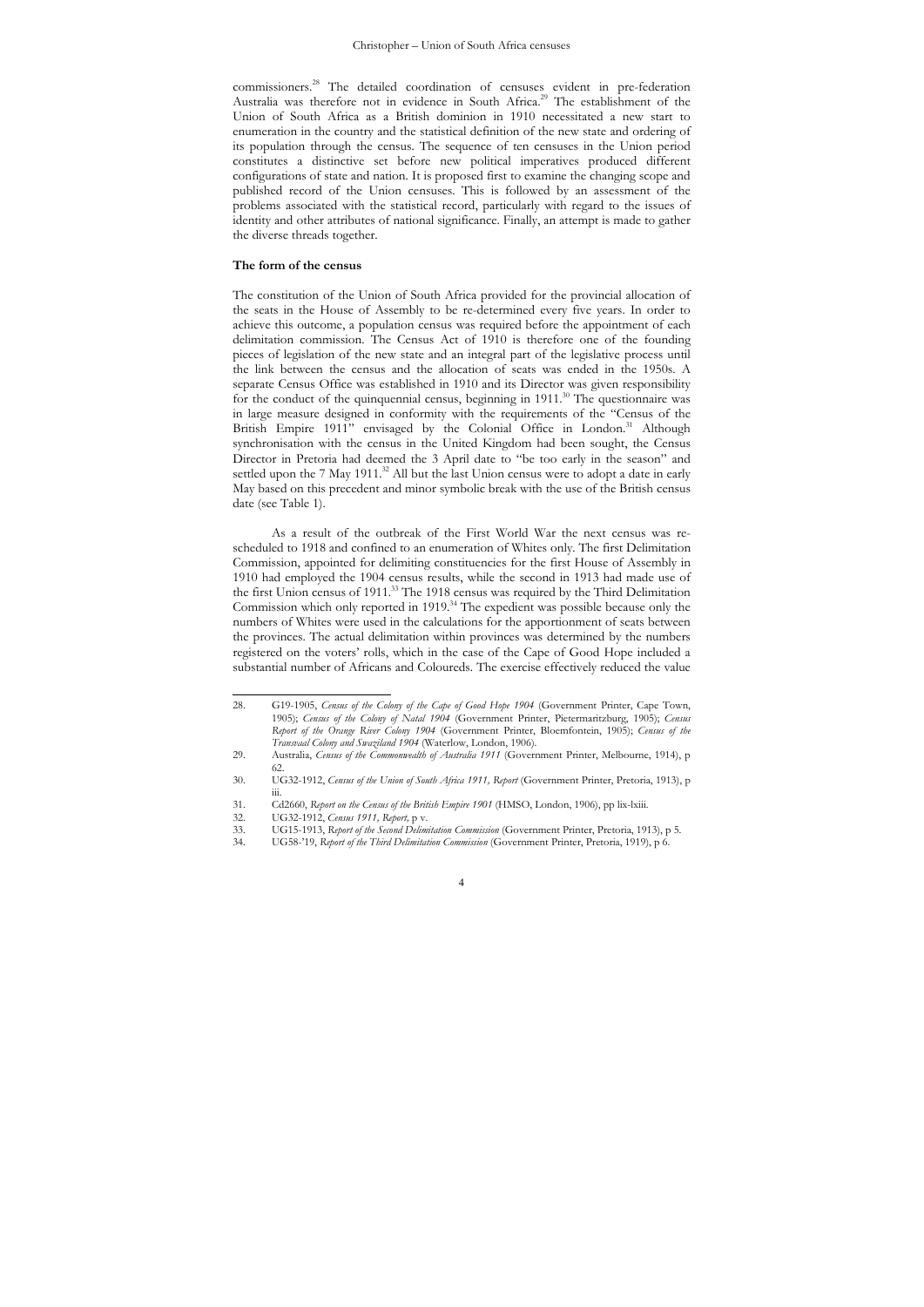commissioners.28 The detailed coordination of censuses evident in pre-federation Australia was therefore not in evidence in South Africa.<sup>29</sup> The establishment of the Union of South Africa as a British dominion in 1910 necessitated a new start to enumeration in the country and the statistical definition of the new state and ordering of its population through the census. The sequence of ten censuses in the Union period constitutes a distinctive set before new political imperatives produced different configurations of state and nation. It is proposed first to examine the changing scope and published record of the Union censuses. This is followed by an assessment of the problems associated with the statistical record, particularly with regard to the issues of identity and other attributes of national significance. Finally, an attempt is made to gather the diverse threads together.

## **The form of the census**

The constitution of the Union of South Africa provided for the provincial allocation of the seats in the House of Assembly to be re-determined every five years. In order to achieve this outcome, a population census was required before the appointment of each delimitation commission. The Census Act of 1910 is therefore one of the founding pieces of legislation of the new state and an integral part of the legislative process until the link between the census and the allocation of seats was ended in the 1950s. A separate Census Office was established in 1910 and its Director was given responsibility for the conduct of the quinquennial census, beginning in  $1911$ <sup>30</sup> The questionnaire was in large measure designed in conformity with the requirements of the "Census of the British Empire 1911" envisaged by the Colonial Office in London.<sup>31</sup> Although synchronisation with the census in the United Kingdom had been sought, the Census Director in Pretoria had deemed the 3 April date to "be too early in the season" and settled upon the 7 May 1911.<sup>32</sup> All but the last Union census were to adopt a date in early May based on this precedent and minor symbolic break with the use of the British census date (see Table 1).

As a result of the outbreak of the First World War the next census was rescheduled to 1918 and confined to an enumeration of Whites only. The first Delimitation Commission, appointed for delimiting constituencies for the first House of Assembly in 1910 had employed the 1904 census results, while the second in 1913 had made use of the first Union census of 1911.33 The 1918 census was required by the Third Delimitation Commission which only reported in 1919.<sup>34</sup> The expedient was possible because only the numbers of Whites were used in the calculations for the apportionment of seats between the provinces. The actual delimitation within provinces was determined by the numbers registered on the voters' rolls, which in the case of the Cape of Good Hope included a substantial number of Africans and Coloureds. The exercise effectively reduced the value

<sup>28</sup> 28. G19-1905, *Census of the Colony of the Cape of Good Hope 1904* (Government Printer, Cape Town, 1905); *Census of the Colony of Natal 1904* (Government Printer, Pietermaritzburg, 1905); *Census Report of the Orange River Colony 1904* (Government Printer, Bloemfontein, 1905); *Census of the Transvaal Colony and Swaziland 1904* (Waterlow, London, 1906). 29. Australia, *Census of the Commonwealth of Australia 1911* (Government Printer, Melbourne, 1914), p

<sup>62.</sup> 

<sup>30.</sup> UG32-1912, *Census of the Union of South Africa 1911, Report* (Government Printer, Pretoria, 1913), p iii. 31. Cd2660, *Report on the Census of the British Empire 1901* (HMSO, London, 1906), pp lix-lxiii.

<sup>32.</sup> UG32-1912, *Census 1911, Report,* p v.

<sup>33.</sup> UG15-1913, *Report of the Second Delimitation Commission* (Government Printer, Pretoria, 1913), p 5.

<sup>34.</sup> UG58-'19, *Report of the Third Delimitation Commission* (Government Printer, Pretoria, 1919), p 6.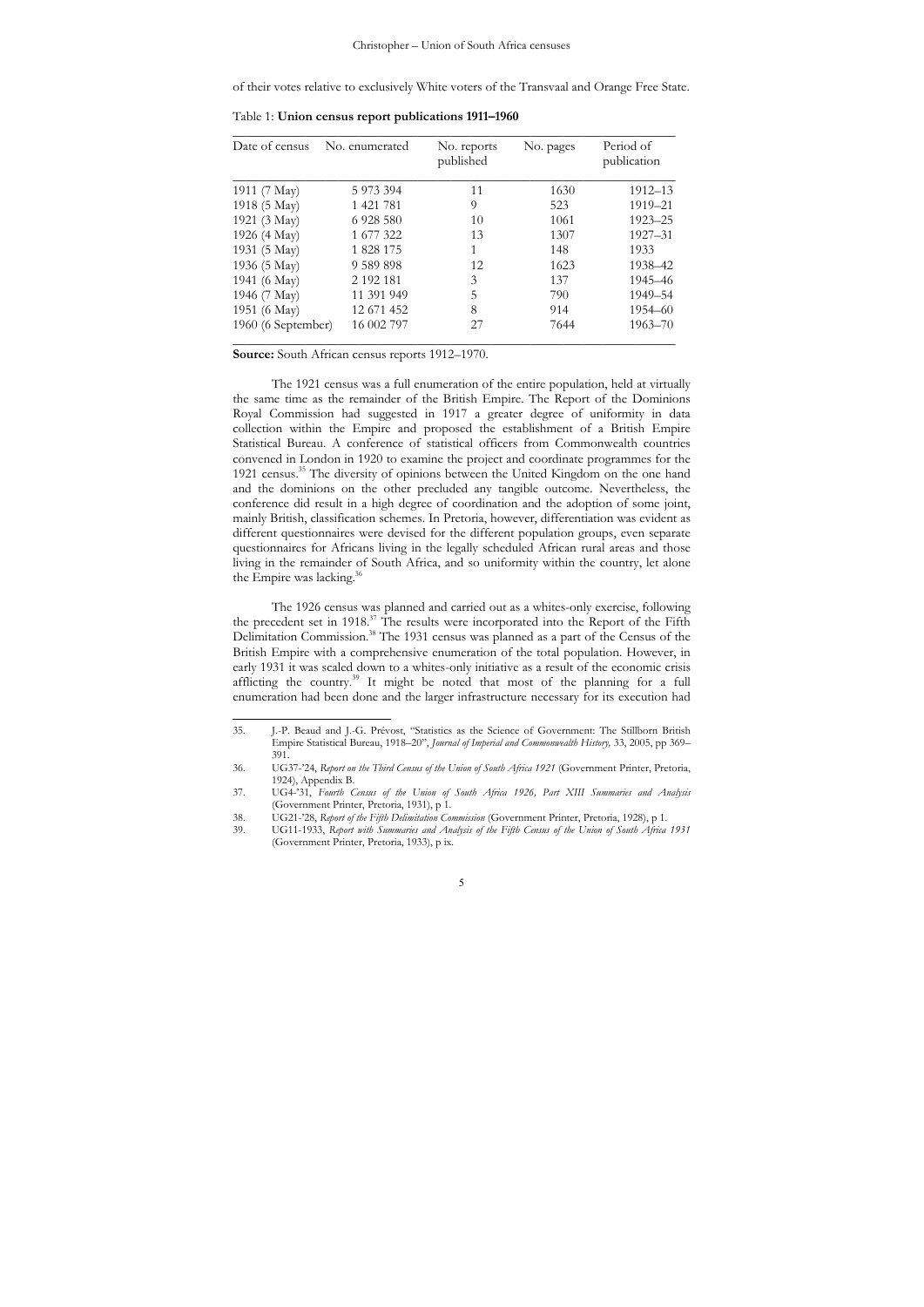of their votes relative to exclusively White voters of the Transvaal and Orange Free State.

Table 1: **Union census report publications 1911–1960**

| Date of census     | No. enumerated | No. reports<br>published | No. pages | Period of<br>publication |
|--------------------|----------------|--------------------------|-----------|--------------------------|
| 1911 (7 May)       | 5 973 394      | 11                       | 1630      | 1912–13                  |
| 1918 (5 May)       | 1 421 781      | 9                        | 523       | 1919-21                  |
| 1921 (3 May)       | 6 9 28 5 80    | 10                       | 1061      | 1923-25                  |
| 1926 (4 May)       | 1 677 322      | 13                       | 1307      | 1927-31                  |
| 1931 (5 May)       | 1 828 175      | 1                        | 148       | 1933                     |
| 1936 (5 May)       | 9 589 898      | 12                       | 1623      | 1938-42                  |
| 1941 (6 May)       | 2 192 181      | 3                        | 137       | 1945-46                  |
| 1946 (7 May)       | 11 391 949     | 5                        | 790       | 1949-54                  |
| 1951 (6 May)       | 12 671 452     | 8                        | 914       | 1954 - 60                |
| 1960 (6 September) | 16 002 797     | 27                       | 7644      | $1963 - 70$              |

**Source:** South African census reports 1912–1970.

 $\overline{a}$ 

The 1921 census was a full enumeration of the entire population, held at virtually the same time as the remainder of the British Empire. The Report of the Dominions Royal Commission had suggested in 1917 a greater degree of uniformity in data collection within the Empire and proposed the establishment of a British Empire Statistical Bureau. A conference of statistical officers from Commonwealth countries convened in London in 1920 to examine the project and coordinate programmes for the 1921 census.35 The diversity of opinions between the United Kingdom on the one hand and the dominions on the other precluded any tangible outcome. Nevertheless, the conference did result in a high degree of coordination and the adoption of some joint, mainly British, classification schemes. In Pretoria, however, differentiation was evident as different questionnaires were devised for the different population groups, even separate questionnaires for Africans living in the legally scheduled African rural areas and those living in the remainder of South Africa, and so uniformity within the country, let alone the Empire was lacking.<sup>3</sup>

The 1926 census was planned and carried out as a whites-only exercise, following the precedent set in 1918.<sup>37</sup> The results were incorporated into the Report of the Fifth Delimitation Commission.<sup>38</sup> The 1931 census was planned as a part of the Census of the British Empire with a comprehensive enumeration of the total population. However, in early 1931 it was scaled down to a whites-only initiative as a result of the economic crisis afflicting the country.39 It might be noted that most of the planning for a full enumeration had been done and the larger infrastructure necessary for its execution had

<sup>35.</sup> J.-P. Beaud and J.-G. Prévost, "Statistics as the Science of Government: The Stillborn British Empire Statistical Bureau, 1918–20", *Journal of Imperial and Commonwealth History,* 33, 2005, pp 369– 391.

<sup>36.</sup> UG37-'24, *Report on the Third Census of the Union of South Africa 1921* (Government Printer, Pretoria, 1924), Appendix B.

<sup>37.</sup> UG4-'31, *Fourth Census of the Union of South Africa 1926, Part XIII Summaries and Analysis* (Government Printer, Pretoria, 1931), p 1.

<sup>38.</sup> UG21-'28, *Report of the Fifth Delimitation Commission* (Government Printer, Pretoria, 1928), p 1.

<sup>39.</sup> UG11-1933, *Report with Summaries and Analysis of the Fifth Census of the Union of South Africa 1931* (Government Printer, Pretoria, 1933), p ix.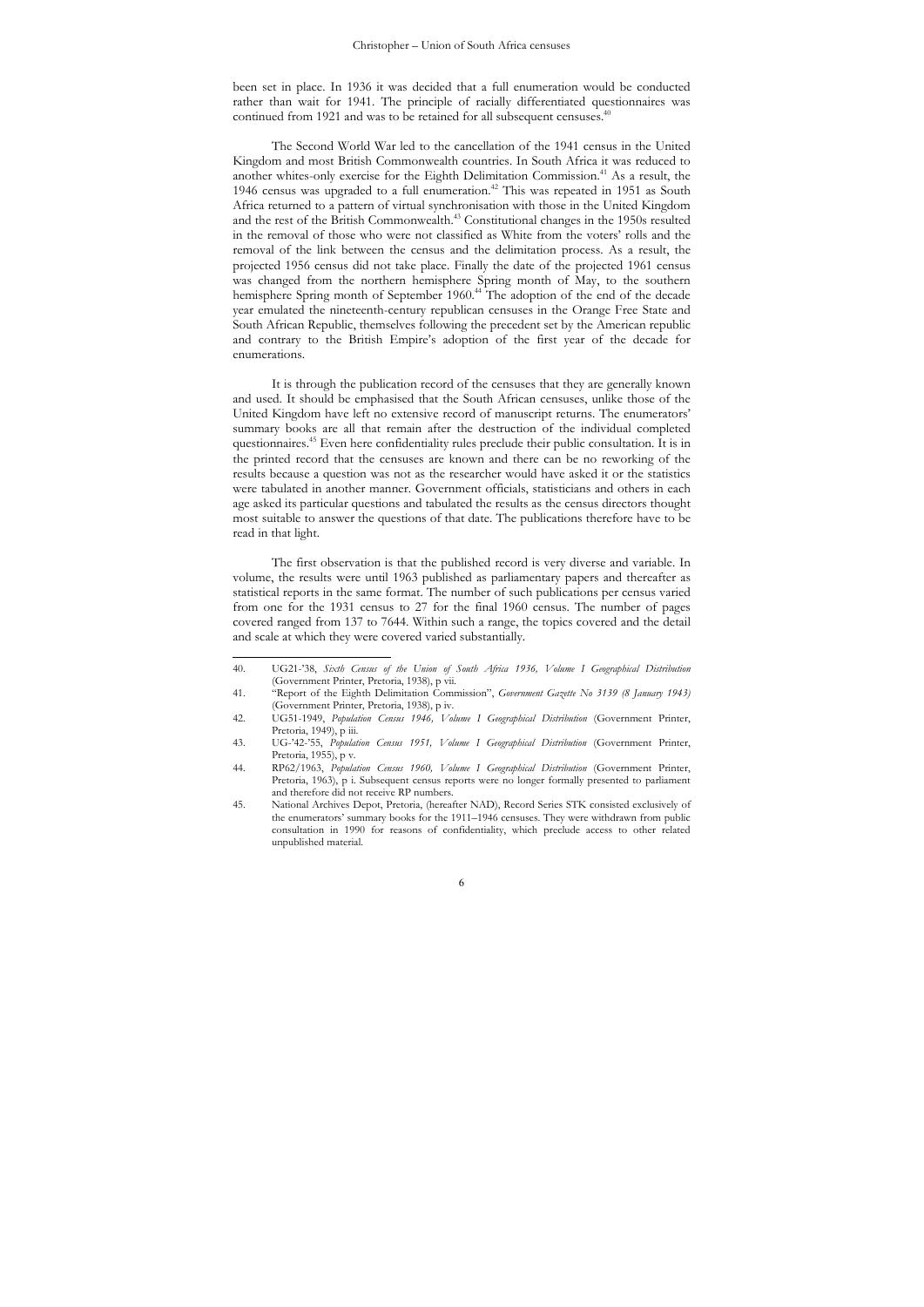been set in place. In 1936 it was decided that a full enumeration would be conducted rather than wait for 1941. The principle of racially differentiated questionnaires was continued from 1921 and was to be retained for all subsequent censuses.<sup>4</sup>

The Second World War led to the cancellation of the 1941 census in the United Kingdom and most British Commonwealth countries. In South Africa it was reduced to another whites-only exercise for the Eighth Delimitation Commission.<sup>41</sup> As a result, the 1946 census was upgraded to a full enumeration.<sup>42</sup> This was repeated in 1951 as South Africa returned to a pattern of virtual synchronisation with those in the United Kingdom and the rest of the British Commonwealth.<sup>43</sup> Constitutional changes in the 1950s resulted in the removal of those who were not classified as White from the voters' rolls and the removal of the link between the census and the delimitation process. As a result, the projected 1956 census did not take place. Finally the date of the projected 1961 census was changed from the northern hemisphere Spring month of May, to the southern hemisphere Spring month of September 1960.<sup>44</sup> The adoption of the end of the decade year emulated the nineteenth-century republican censuses in the Orange Free State and South African Republic, themselves following the precedent set by the American republic and contrary to the British Empire's adoption of the first year of the decade for enumerations.

It is through the publication record of the censuses that they are generally known and used. It should be emphasised that the South African censuses, unlike those of the United Kingdom have left no extensive record of manuscript returns. The enumerators' summary books are all that remain after the destruction of the individual completed questionnaires.45 Even here confidentiality rules preclude their public consultation. It is in the printed record that the censuses are known and there can be no reworking of the results because a question was not as the researcher would have asked it or the statistics were tabulated in another manner. Government officials, statisticians and others in each age asked its particular questions and tabulated the results as the census directors thought most suitable to answer the questions of that date. The publications therefore have to be read in that light.

The first observation is that the published record is very diverse and variable. In volume, the results were until 1963 published as parliamentary papers and thereafter as statistical reports in the same format. The number of such publications per census varied from one for the 1931 census to 27 for the final 1960 census. The number of pages covered ranged from 137 to 7644. Within such a range, the topics covered and the detail and scale at which they were covered varied substantially.

 $40.$ 40. UG21-'38, *Sixth Census of the Union of South Africa 1936, Volume I Geographical Distribution* (Government Printer, Pretoria, 1938), p vii.

<sup>41. &</sup>quot;Report of the Eighth Delimitation Commission", *Government Gazette No 3139 (8 January 1943)* (Government Printer, Pretoria, 1938), p iv.

<sup>42.</sup> UG51-1949, *Population Census 1946, Volume I Geographical Distribution* (Government Printer, Pretoria, 1949), p iii.

<sup>43.</sup> UG-'42-'55, *Population Census 1951, Volume I Geographical Distribution* (Government Printer, Pretoria, 1955), p v.

<sup>44.</sup> RP62/1963, *Population Census 1960, Volume I Geographical Distribution* (Government Printer, Pretoria, 1963), p i. Subsequent census reports were no longer formally presented to parliament and therefore did not receive RP numbers.

<sup>45.</sup> National Archives Depot, Pretoria, (hereafter NAD), Record Series STK consisted exclusively of the enumerators' summary books for the 1911–1946 censuses. They were withdrawn from public consultation in 1990 for reasons of confidentiality, which preclude access to other related unpublished material.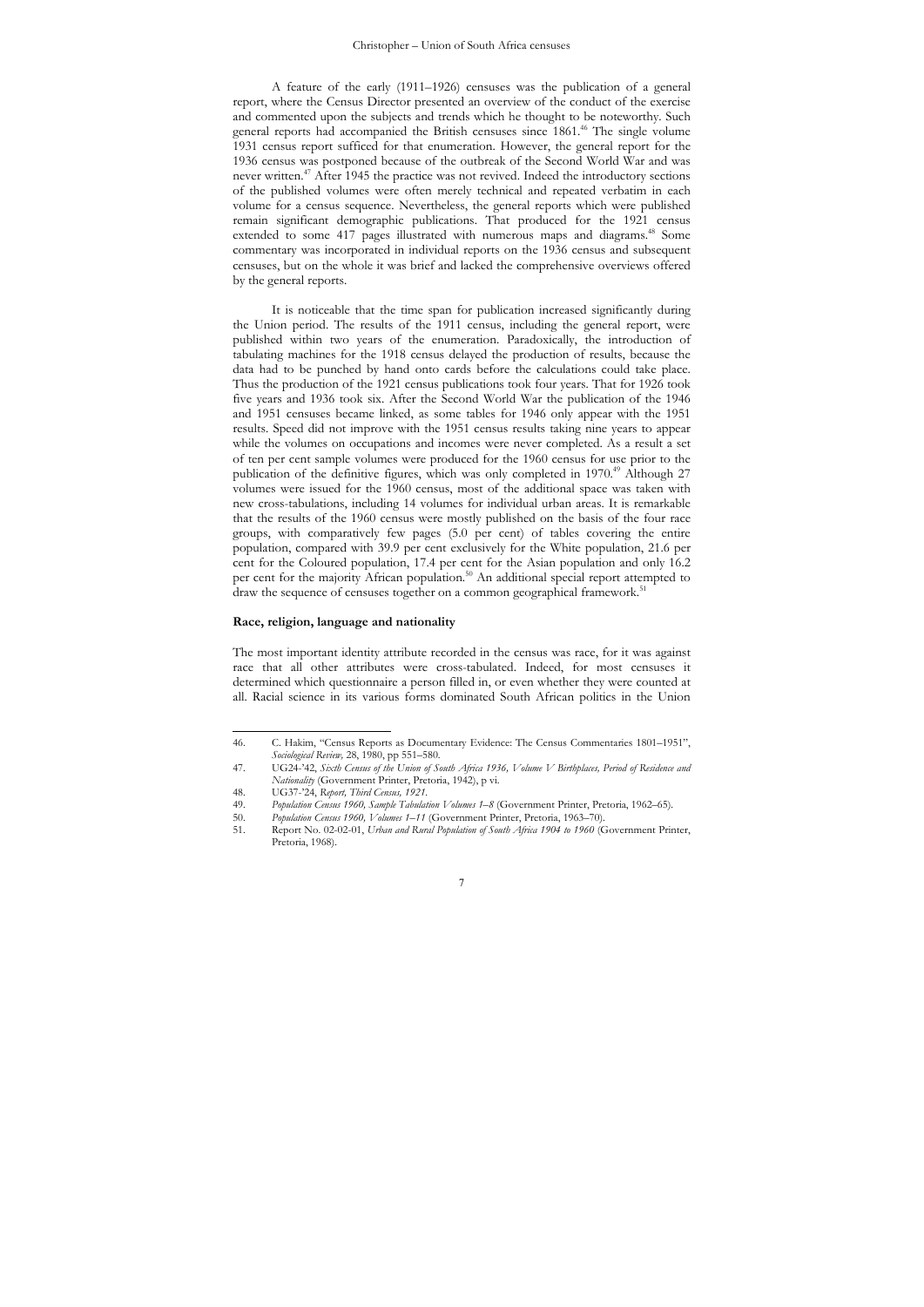A feature of the early (1911–1926) censuses was the publication of a general report, where the Census Director presented an overview of the conduct of the exercise and commented upon the subjects and trends which he thought to be noteworthy. Such general reports had accompanied the British censuses since 1861.46 The single volume 1931 census report sufficed for that enumeration. However, the general report for the 1936 census was postponed because of the outbreak of the Second World War and was never written.47 After 1945 the practice was not revived. Indeed the introductory sections of the published volumes were often merely technical and repeated verbatim in each volume for a census sequence. Nevertheless, the general reports which were published remain significant demographic publications. That produced for the 1921 census extended to some 417 pages illustrated with numerous maps and diagrams.<sup>48</sup> Some commentary was incorporated in individual reports on the 1936 census and subsequent censuses, but on the whole it was brief and lacked the comprehensive overviews offered by the general reports.

It is noticeable that the time span for publication increased significantly during the Union period. The results of the 1911 census, including the general report, were published within two years of the enumeration. Paradoxically, the introduction of tabulating machines for the 1918 census delayed the production of results, because the data had to be punched by hand onto cards before the calculations could take place. Thus the production of the 1921 census publications took four years. That for 1926 took five years and 1936 took six. After the Second World War the publication of the 1946 and 1951 censuses became linked, as some tables for 1946 only appear with the 1951 results. Speed did not improve with the 1951 census results taking nine years to appear while the volumes on occupations and incomes were never completed. As a result a set of ten per cent sample volumes were produced for the 1960 census for use prior to the publication of the definitive figures, which was only completed in  $1970<sup>49</sup>$  Although 27 volumes were issued for the 1960 census, most of the additional space was taken with new cross-tabulations, including 14 volumes for individual urban areas. It is remarkable that the results of the 1960 census were mostly published on the basis of the four race groups, with comparatively few pages (5.0 per cent) of tables covering the entire population, compared with 39.9 per cent exclusively for the White population, 21.6 per cent for the Coloured population, 17.4 per cent for the Asian population and only 16.2 per cent for the majority African population.<sup>50</sup> An additional special report attempted to draw the sequence of censuses together on a common geographical framework.<sup>5</sup>

### **Race, religion, language and nationality**

The most important identity attribute recorded in the census was race, for it was against race that all other attributes were cross-tabulated. Indeed, for most censuses it determined which questionnaire a person filled in, or even whether they were counted at all. Racial science in its various forms dominated South African politics in the Union

 $\overline{a}$ 

<sup>46.</sup> C. Hakim, "Census Reports as Documentary Evidence: The Census Commentaries 1801–1951", *Sociological Review,* 28, 1980, pp 551–580.

<sup>47.</sup> UG24-'42, *Sixth Census of the Union of South Africa 1936, Volume V Birthplaces, Period of Residence and Nationality* (Government Printer, Pretoria, 1942), p vi.

<sup>48.</sup> UG37-'24, *Report, Third Census, 1921*.

<sup>49.</sup> *Population Census 1960, Sample Tabulation Volumes 1*–*8* (Government Printer, Pretoria, 1962–65).

<sup>50.</sup> *Population Census 1960, Volumes 1–11* (Government Printer, Pretoria, 1963–70).<br>51 Report No. 02-02-01 *Urban and Rural Population of South Africa 1904 to 1960* (G

<sup>51.</sup> Report No. 02-02-01, *Urban and Rural Population of South Africa 1904 to 1960* (Government Printer, Pretoria, 1968).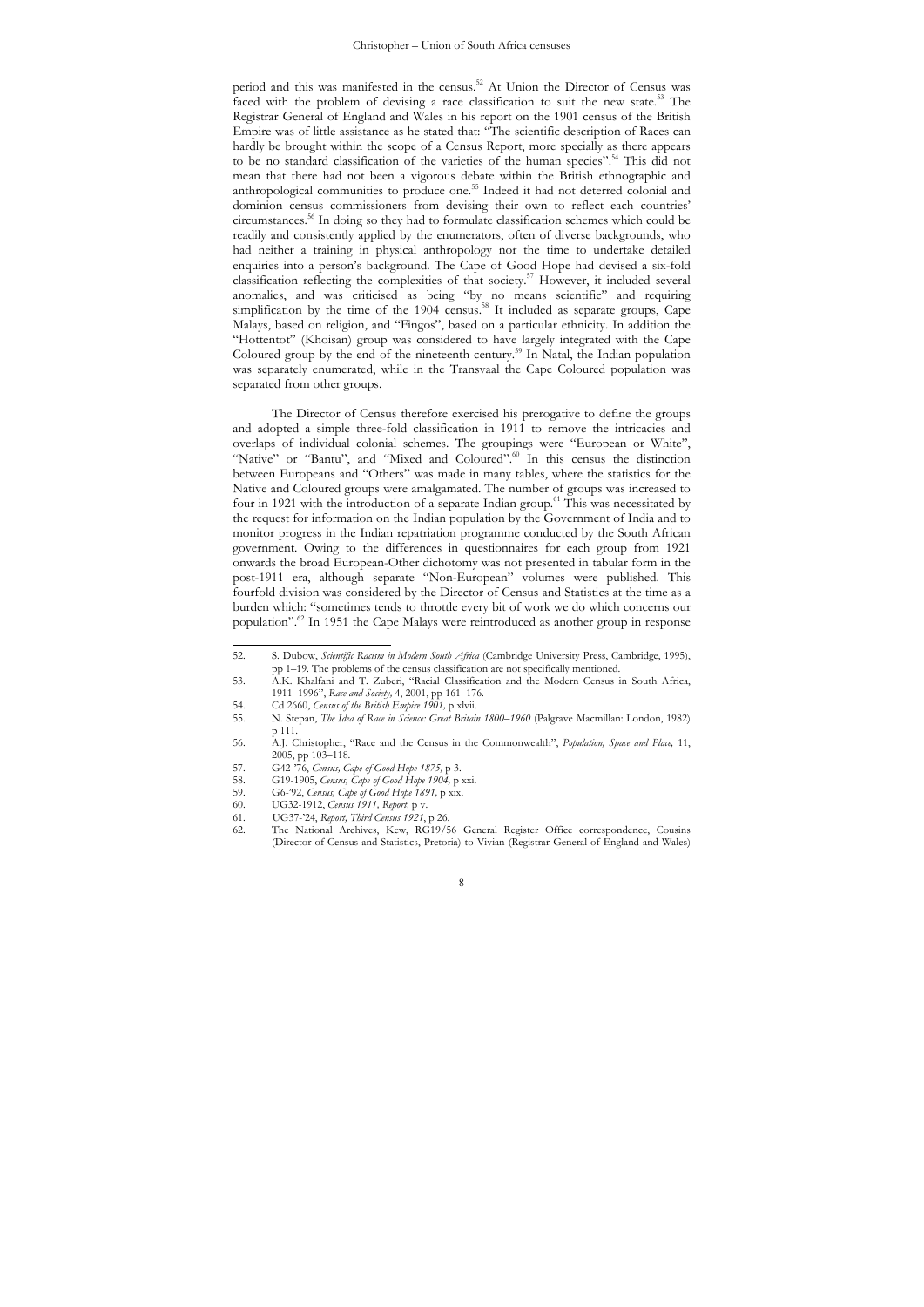period and this was manifested in the census.52 At Union the Director of Census was faced with the problem of devising a race classification to suit the new state.53 The Registrar General of England and Wales in his report on the 1901 census of the British Empire was of little assistance as he stated that: "The scientific description of Races can hardly be brought within the scope of a Census Report, more specially as there appears to be no standard classification of the varieties of the human species".<sup>54</sup> This did not mean that there had not been a vigorous debate within the British ethnographic and anthropological communities to produce one.<sup>55</sup> Indeed it had not deterred colonial and dominion census commissioners from devising their own to reflect each countries' circumstances.56 In doing so they had to formulate classification schemes which could be readily and consistently applied by the enumerators, often of diverse backgrounds, who had neither a training in physical anthropology nor the time to undertake detailed enquiries into a person's background. The Cape of Good Hope had devised a six-fold classification reflecting the complexities of that society.57 However, it included several anomalies, and was criticised as being "by no means scientific" and requiring simplification by the time of the  $1904$  census.<sup>58</sup> It included as separate groups, Cape Malays, based on religion, and "Fingos", based on a particular ethnicity. In addition the "Hottentot" (Khoisan) group was considered to have largely integrated with the Cape Coloured group by the end of the nineteenth century.<sup>59</sup> In Natal, the Indian population was separately enumerated, while in the Transvaal the Cape Coloured population was separated from other groups.

The Director of Census therefore exercised his prerogative to define the groups and adopted a simple three-fold classification in 1911 to remove the intricacies and overlaps of individual colonial schemes. The groupings were "European or White", "Native" or "Bantu", and "Mixed and Coloured".<sup>60</sup> In this census the distinction between Europeans and "Others" was made in many tables, where the statistics for the Native and Coloured groups were amalgamated. The number of groups was increased to four in 1921 with the introduction of a separate Indian group.61 This was necessitated by the request for information on the Indian population by the Government of India and to monitor progress in the Indian repatriation programme conducted by the South African government. Owing to the differences in questionnaires for each group from 1921 onwards the broad European-Other dichotomy was not presented in tabular form in the post-1911 era, although separate "Non-European" volumes were published. This fourfold division was considered by the Director of Census and Statistics at the time as a burden which: "sometimes tends to throttle every bit of work we do which concerns our population".62 In 1951 the Cape Malays were reintroduced as another group in response

<sup>52</sup> 52. S. Dubow, *Scientific Racism in Modern South Africa* (Cambridge University Press, Cambridge, 1995), pp 1–19. The problems of the census classification are not specifically mentioned.

<sup>53.</sup> A.K. Khalfani and T. Zuberi, "Racial Classification and the Modern Census in South Africa, 1911–1996", *Race and Society,* 4, 2001, pp 161–176.

<sup>54.</sup> Cd 2660, *Census of the British Empire 1901*, p xlvii.<br>55. N. Stepan, *The Idea of Race in Science: Great Britain*.

<sup>55.</sup> N. Stepan, *The Idea of Race in Science: Great Britain 1800*–*1960* (Palgrave Macmillan: London, 1982) p 111.

<sup>56.</sup> A.J. Christopher, "Race and the Census in the Commonwealth", *Population, Space and Place,* 11, 2005, pp 103–118.

<sup>57.</sup> G42-'76, *Census, Cape of Good Hope 1875,* p 3.

<sup>58.</sup> G19-1905, *Census, Cape of Good Hope 1904,* p xxi.

<sup>59.</sup> G6-'92, *Census, Cape of Good Hope 1891*, p xix.<br>60. UG32-1912, *Census 1911*, *Report*, p v.

<sup>60.</sup> UG32-1912, *Census 1911, Report,* p v.

<sup>61.</sup> UG37-'24, *Report, Third Census 1921*, p 26.

<sup>62.</sup> The National Archives, Kew, RG19/56 General Register Office correspondence, Cousins (Director of Census and Statistics, Pretoria) to Vivian (Registrar General of England and Wales)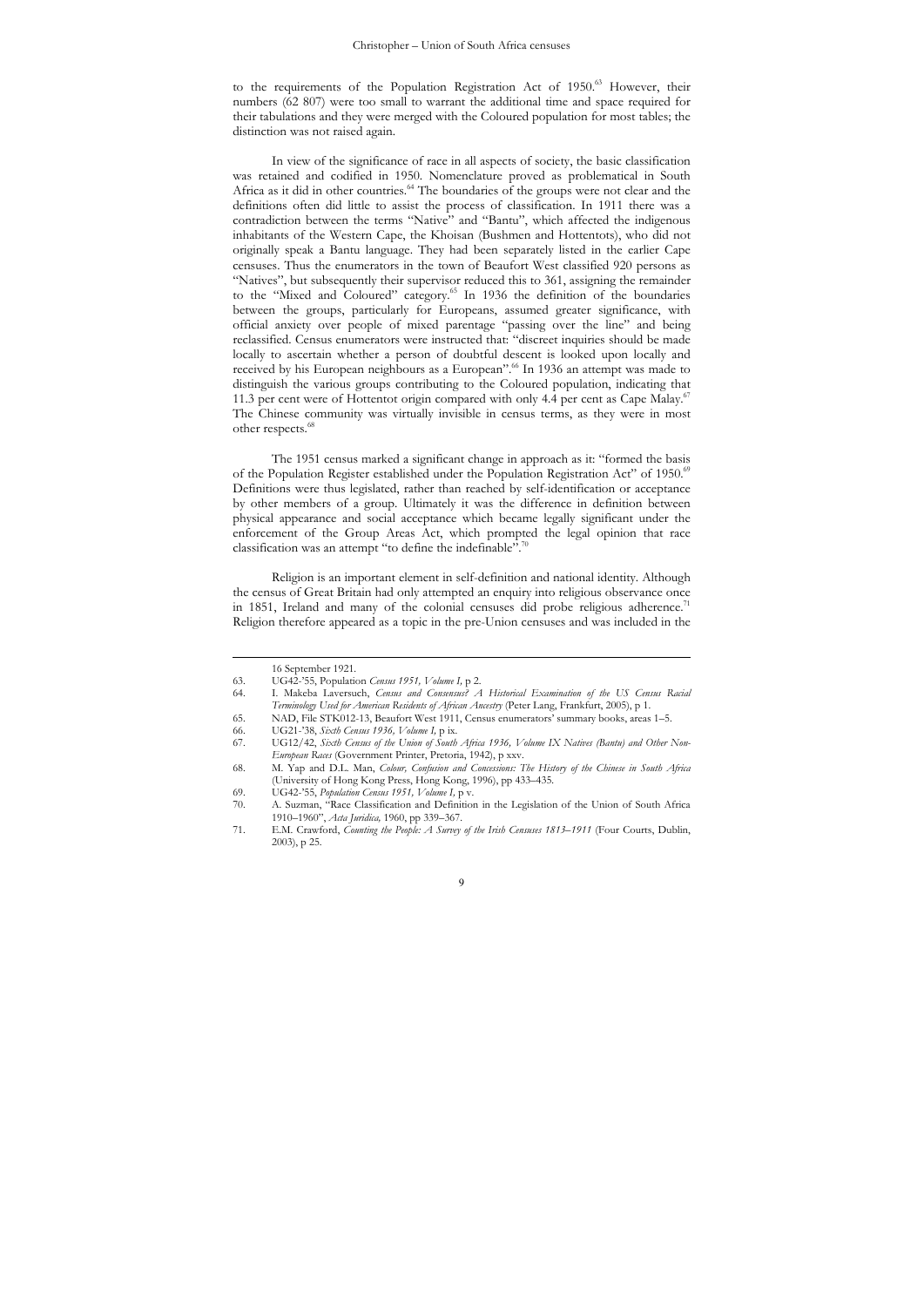to the requirements of the Population Registration Act of 1950.<sup>63</sup> However, their numbers (62 807) were too small to warrant the additional time and space required for their tabulations and they were merged with the Coloured population for most tables; the distinction was not raised again.

In view of the significance of race in all aspects of society, the basic classification was retained and codified in 1950. Nomenclature proved as problematical in South Africa as it did in other countries.<sup>64</sup> The boundaries of the groups were not clear and the definitions often did little to assist the process of classification. In 1911 there was a contradiction between the terms "Native" and "Bantu", which affected the indigenous inhabitants of the Western Cape, the Khoisan (Bushmen and Hottentots), who did not originally speak a Bantu language. They had been separately listed in the earlier Cape censuses. Thus the enumerators in the town of Beaufort West classified 920 persons as "Natives", but subsequently their supervisor reduced this to 361, assigning the remainder to the "Mixed and Coloured" category.<sup>65</sup> In 1936 the definition of the boundaries between the groups, particularly for Europeans, assumed greater significance, with official anxiety over people of mixed parentage "passing over the line" and being reclassified. Census enumerators were instructed that: "discreet inquiries should be made locally to ascertain whether a person of doubtful descent is looked upon locally and received by his European neighbours as a European".66 In 1936 an attempt was made to distinguish the various groups contributing to the Coloured population, indicating that 11.3 per cent were of Hottentot origin compared with only 4.4 per cent as Cape Malay.<sup>6</sup> The Chinese community was virtually invisible in census terms, as they were in most other respects.<sup>68</sup>

The 1951 census marked a significant change in approach as it: "formed the basis of the Population Register established under the Population Registration Act" of 1950.<sup>69</sup> Definitions were thus legislated, rather than reached by self-identification or acceptance by other members of a group. Ultimately it was the difference in definition between physical appearance and social acceptance which became legally significant under the enforcement of the Group Areas Act, which prompted the legal opinion that race classification was an attempt "to define the indefinable".

Religion is an important element in self-definition and national identity. Although the census of Great Britain had only attempted an enquiry into religious observance once in 1851, Ireland and many of the colonial censuses did probe religious adherence.<sup>71</sup> Religion therefore appeared as a topic in the pre-Union censuses and was included in the

 $\overline{a}$ 

65. NAD, File STK012-13, Beaufort West 1911, Census enumerators' summary books, areas 1–5.

66. UG21-'38, *Sixth Census 1936, Volume I,* p ix.

 $\overline{9}$ 

<sup>16</sup> September 1921.

<sup>63.</sup> UG42-'55, Population *Census 1951, Volume I,* p 2.

<sup>64.</sup> I. Makeba Laversuch, *Census and Consensus? A Historical Examination of the US Census Racial Terminology Used for American Residents of African Ancestry* (Peter Lang, Frankfurt, 2005), p 1.

<sup>67.</sup> UG12/42, *Sixth Census of the Union of South Africa 1936, Volume IX Natives (Bantu) and Other Non-European Races* (Government Printer, Pretoria, 1942), p xxv.

<sup>68.</sup> M. Yap and D.L. Man, *Colour, Confusion and Concessions: The History of the Chinese in South Africa* (University of Hong Kong Press, Hong Kong, 1996), pp 433–435.

<sup>69.</sup> UG42-'55, *Population Census 1951, Volume I,* p v.

A. Suzman, "Race Classification and Definition in the Legislation of the Union of South Africa 1910–1960", *Acta Juridica,* 1960, pp 339–367.

<sup>71.</sup> E.M. Crawford, *Counting the People: A Survey of the Irish Censuses 1813*–*1911* (Four Courts, Dublin, 2003), p 25.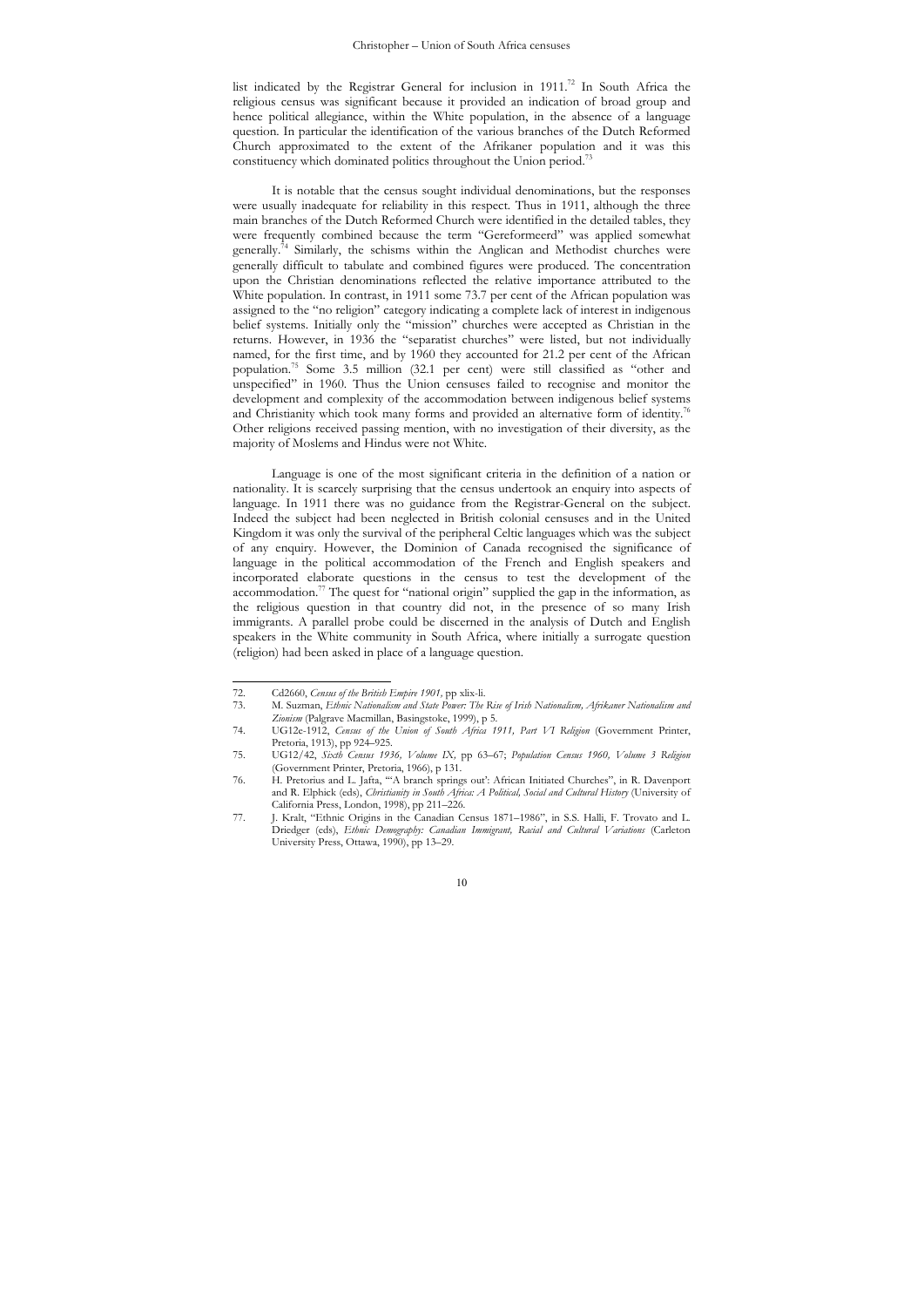list indicated by the Registrar General for inclusion in  $1911.^{72}$  In South Africa the religious census was significant because it provided an indication of broad group and hence political allegiance, within the White population, in the absence of a language question. In particular the identification of the various branches of the Dutch Reformed Church approximated to the extent of the Afrikaner population and it was this constituency which dominated politics throughout the Union period.<sup>73</sup>

It is notable that the census sought individual denominations, but the responses were usually inadequate for reliability in this respect. Thus in 1911, although the three main branches of the Dutch Reformed Church were identified in the detailed tables, they were frequently combined because the term "Gereformeerd" was applied somewhat generally.<sup>74</sup> Similarly, the schisms within the Anglican and Methodist churches were generally difficult to tabulate and combined figures were produced. The concentration upon the Christian denominations reflected the relative importance attributed to the White population. In contrast, in 1911 some 73.7 per cent of the African population was assigned to the "no religion" category indicating a complete lack of interest in indigenous belief systems. Initially only the "mission" churches were accepted as Christian in the returns. However, in 1936 the "separatist churches" were listed, but not individually named, for the first time, and by 1960 they accounted for 21.2 per cent of the African population.75 Some 3.5 million (32.1 per cent) were still classified as "other and unspecified" in 1960. Thus the Union censuses failed to recognise and monitor the development and complexity of the accommodation between indigenous belief systems and Christianity which took many forms and provided an alternative form of identity.<sup>76</sup> Other religions received passing mention, with no investigation of their diversity, as the majority of Moslems and Hindus were not White.

Language is one of the most significant criteria in the definition of a nation or nationality. It is scarcely surprising that the census undertook an enquiry into aspects of language. In 1911 there was no guidance from the Registrar-General on the subject. Indeed the subject had been neglected in British colonial censuses and in the United Kingdom it was only the survival of the peripheral Celtic languages which was the subject of any enquiry. However, the Dominion of Canada recognised the significance of language in the political accommodation of the French and English speakers and incorporated elaborate questions in the census to test the development of the accommodation.<sup>77</sup> The quest for "national origin" supplied the gap in the information, as the religious question in that country did not, in the presence of so many Irish immigrants. A parallel probe could be discerned in the analysis of Dutch and English speakers in the White community in South Africa, where initially a surrogate question (religion) had been asked in place of a language question.

 $\overline{a}$ 

<sup>72.</sup> Cd2660, *Census of the British Empire 1901,* pp xlix-li.

<sup>73.</sup> M. Suzman, *Ethnic Nationalism and State Power: The Rise of Irish Nationalism, Afrikaner Nationalism and Zionism* (Palgrave Macmillan, Basingstoke, 1999), p 5.

<sup>74.</sup> UG12e-1912, *Census of the Union of South Africa 1911, Part VI Religion* (Government Printer, Pretoria, 1913), pp 924–925.

<sup>75.</sup> UG12/42, *Sixth Census 1936, Volume IX,* pp 63–67; *Population Census 1960, Volume 3 Religion* (Government Printer, Pretoria, 1966), p 131.

<sup>76.</sup> H. Pretorius and L. Jafta, '"A branch springs out': African Initiated Churches", in R. Davenport and R. Elphick (eds), *Christianity in South Africa: A Political, Social and Cultural History* (University of California Press, London, 1998), pp 211–226.

<sup>77.</sup> J. Kralt, "Ethnic Origins in the Canadian Census 1871–1986", in S.S. Halli, F. Trovato and L. Driedger (eds), *Ethnic Demography: Canadian Immigrant, Racial and Cultural Variations* (Carleton University Press, Ottawa, 1990), pp 13–29.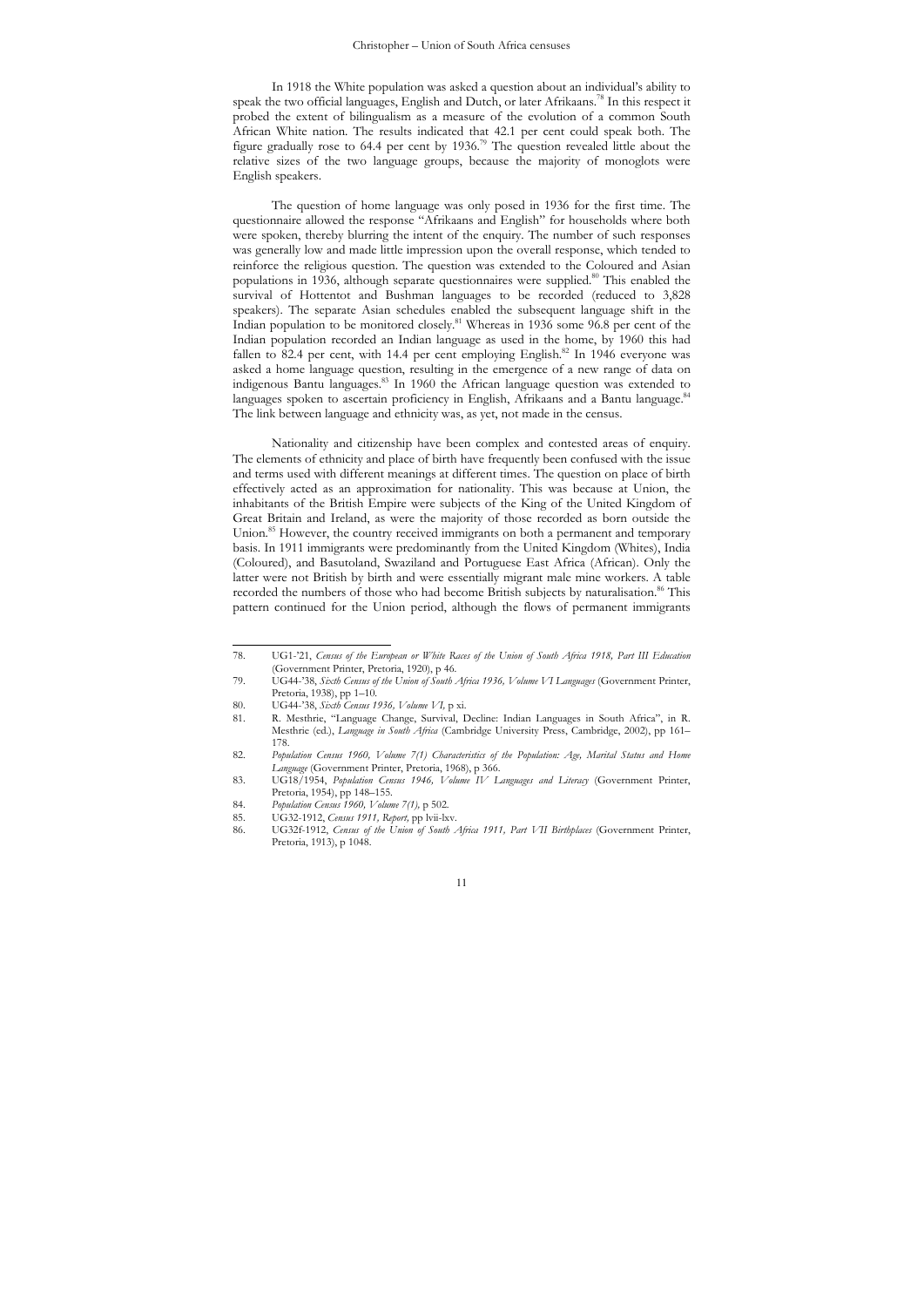In 1918 the White population was asked a question about an individual's ability to speak the two official languages, English and Dutch, or later Afrikaans.78 In this respect it probed the extent of bilingualism as a measure of the evolution of a common South African White nation. The results indicated that 42.1 per cent could speak both. The figure gradually rose to 64.4 per cent by 1936.<sup>79</sup> The question revealed little about the relative sizes of the two language groups, because the majority of monoglots were English speakers.

The question of home language was only posed in 1936 for the first time. The questionnaire allowed the response "Afrikaans and English" for households where both were spoken, thereby blurring the intent of the enquiry. The number of such responses was generally low and made little impression upon the overall response, which tended to reinforce the religious question. The question was extended to the Coloured and Asian populations in 1936, although separate questionnaires were supplied.<sup>80</sup> This enabled the survival of Hottentot and Bushman languages to be recorded (reduced to 3,828 speakers). The separate Asian schedules enabled the subsequent language shift in the Indian population to be monitored closely.81 Whereas in 1936 some 96.8 per cent of the Indian population recorded an Indian language as used in the home, by 1960 this had fallen to 82.4 per cent, with 14.4 per cent employing English.<sup>82</sup> In 1946 everyone was asked a home language question, resulting in the emergence of a new range of data on indigenous Bantu languages.83 In 1960 the African language question was extended to languages spoken to ascertain proficiency in English, Afrikaans and a Bantu language.<sup>84</sup> The link between language and ethnicity was, as yet, not made in the census.

Nationality and citizenship have been complex and contested areas of enquiry. The elements of ethnicity and place of birth have frequently been confused with the issue and terms used with different meanings at different times. The question on place of birth effectively acted as an approximation for nationality. This was because at Union, the inhabitants of the British Empire were subjects of the King of the United Kingdom of Great Britain and Ireland, as were the majority of those recorded as born outside the Union.85 However, the country received immigrants on both a permanent and temporary basis. In 1911 immigrants were predominantly from the United Kingdom (Whites), India (Coloured), and Basutoland, Swaziland and Portuguese East Africa (African). Only the latter were not British by birth and were essentially migrant male mine workers. A table recorded the numbers of those who had become British subjects by naturalisation.<sup>86</sup> This pattern continued for the Union period, although the flows of permanent immigrants

 $\overline{a}$ 

<sup>78.</sup> UG1-'21, *Census of the European or White Races of the Union of South Africa 1918, Part III Education* (Government Printer, Pretoria, 1920), p 46.

<sup>79.</sup> UG44-'38, *Sixth Census of the Union of South Africa 1936, Volume VI Languages* (Government Printer, Pretoria, 1938), pp 1–10.

<sup>80.</sup> UG44-'38, *Sixth Census 1936, Volume VI*, p xi.<br>81. R. Mesthrie, "Language Change, Survival, I

<sup>81.</sup> R. Mesthrie, "Language Change, Survival, Decline: Indian Languages in South Africa", in R. Mesthrie (ed.), *Language in South Africa* (Cambridge University Press, Cambridge, 2002), pp 161– 178.

<sup>82.</sup> *Population Census 1960, Volume 7(1) Characteristics of the Population: Age, Marital Status and Home Language* (Government Printer, Pretoria, 1968), p 366. 83. UG18/1954, *Population Census 1946, Volume IV Languages and Literacy* (Government Printer,

Pretoria, 1954), pp 148–155.

<sup>84.</sup> *Population Census 1960, Volume 7(1),* p 502.

<sup>85.</sup> UG32-1912, *Census 1911, Report,* pp lvii-lxv.

<sup>86.</sup> UG32f-1912, *Census of the Union of South Africa 1911, Part VII Birthplaces* (Government Printer, Pretoria, 1913), p 1048.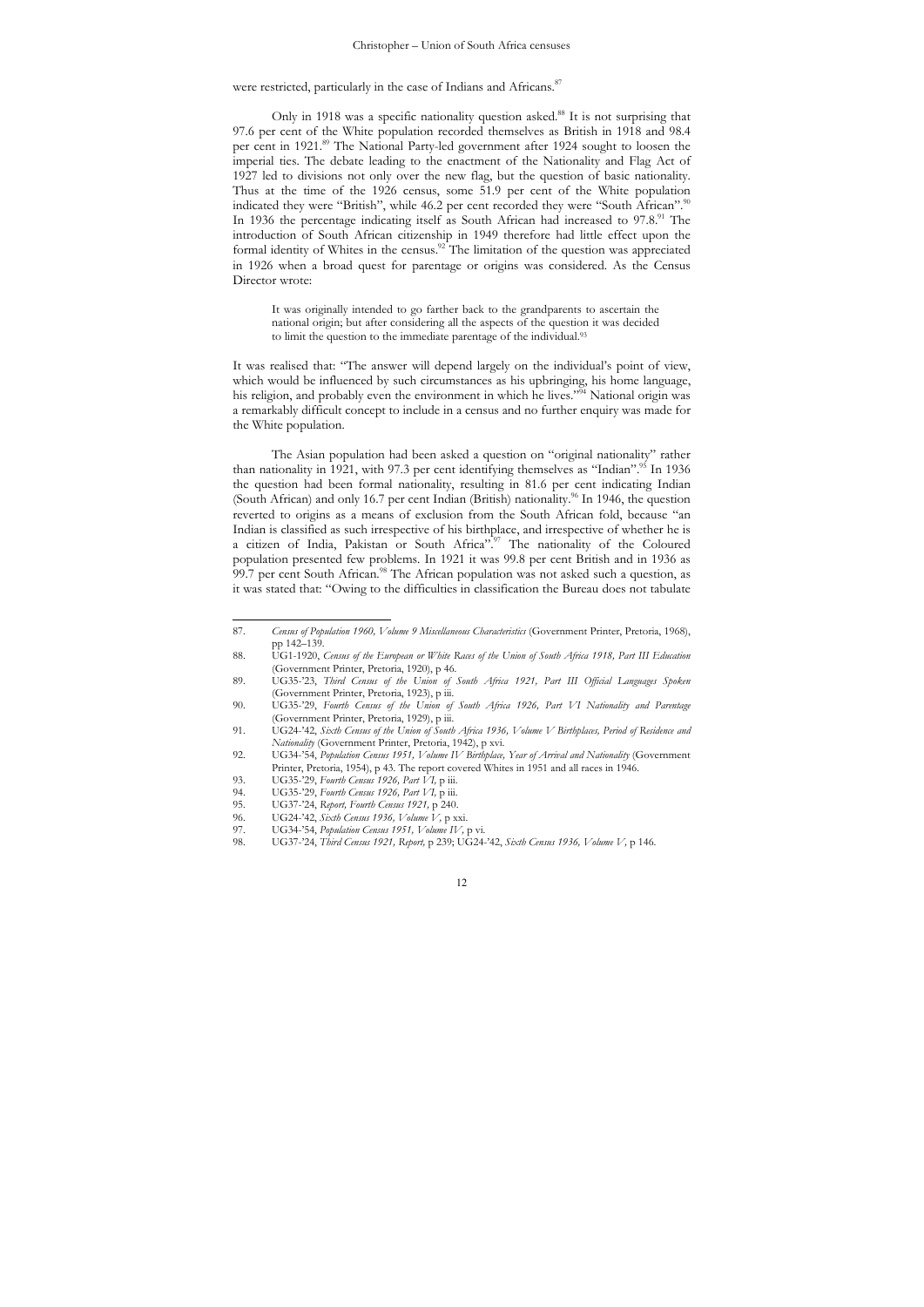were restricted, particularly in the case of Indians and Africans.<sup>87</sup>

Only in 1918 was a specific nationality question asked.<sup>88</sup> It is not surprising that 97.6 per cent of the White population recorded themselves as British in 1918 and 98.4 per cent in 1921.89 The National Party-led government after 1924 sought to loosen the imperial ties. The debate leading to the enactment of the Nationality and Flag Act of 1927 led to divisions not only over the new flag, but the question of basic nationality. Thus at the time of the 1926 census, some 51.9 per cent of the White population indicated they were "British", while 46.2 per cent recorded they were "South African".<sup>91</sup> In 1936 the percentage indicating itself as South African had increased to 97.8.91 The introduction of South African citizenship in 1949 therefore had little effect upon the formal identity of Whites in the census.<sup>92</sup> The limitation of the question was appreciated in 1926 when a broad quest for parentage or origins was considered. As the Census Director wrote:

It was originally intended to go farther back to the grandparents to ascertain the national origin; but after considering all the aspects of the question it was decided to limit the question to the immediate parentage of the individual.<sup>93</sup>

It was realised that: "The answer will depend largely on the individual's point of view, which would be influenced by such circumstances as his upbringing, his home language, his religion, and probably even the environment in which he lives."<sup>94</sup> National origin was a remarkably difficult concept to include in a census and no further enquiry was made for the White population.

The Asian population had been asked a question on "original nationality" rather than nationality in 1921, with 97.3 per cent identifying themselves as "Indian".<sup>95</sup> In 1936 the question had been formal nationality, resulting in 81.6 per cent indicating Indian (South African) and only 16.7 per cent Indian (British) nationality.<sup>96</sup> In 1946, the question reverted to origins as a means of exclusion from the South African fold, because "an Indian is classified as such irrespective of his birthplace, and irrespective of whether he is a citizen of India, Pakistan or South Africa".<sup>97</sup> The nationality of the Coloured population presented few problems. In 1921 it was 99.8 per cent British and in 1936 as 99.7 per cent South African.<sup>98</sup> The African population was not asked such a question, as it was stated that: "Owing to the difficulties in classification the Bureau does not tabulate

 $\overline{a}$ 

<sup>87.</sup> *Census of Population 1960, Volume 9 Miscellaneous Characteristics* (Government Printer, Pretoria, 1968), pp 142–139.

<sup>88.</sup> UG1-1920, *Census of the European or White Races of the Union of South Africa 1918, Part III Education* (Government Printer, Pretoria, 1920), p 46.

<sup>89.</sup> UG35-'23, *Third Census of the Union of South Africa 1921, Part III Official Languages Spoken* (Government Printer, Pretoria, 1923), p iii. 90. UG35-'29, *Fourth Census of the Union of South Africa 1926, Part VI Nationality and Parentage*

<sup>(</sup>Government Printer, Pretoria, 1929), p iii. 91. UG24-'42, *Sixth Census of the Union of South Africa 1936, Volume V Birthplaces, Period of Residence and* 

*Nationality* (Government Printer, Pretoria, 1942), p xvi. 92. UG34-'54, *Population Census 1951, Volume IV Birthplace, Year of Arrival and Nationality* (Government

Printer, Pretoria, 1954), p 43. The report covered Whites in 1951 and all races in 1946. 93. UG35-'29, *Fourth Census 1926, Part VI,* p iii.

<sup>94.</sup> UG35-'29, *Fourth Census 1926, Part VI,* p iii. 95. UG37-'24, *Report, Fourth Census 1921,* p 240.

<sup>96.</sup> UG24-'42, *Sixth Census 1936, Volume V,* p xxi.

<sup>97.</sup> UG34-'54, *Population Census 1951, Volume IV,* p vi.

<sup>98.</sup> UG37-'24, *Third Census 1921, Report,* p 239; UG24-'42, *Sixth Census 1936, Volume V,* p 146.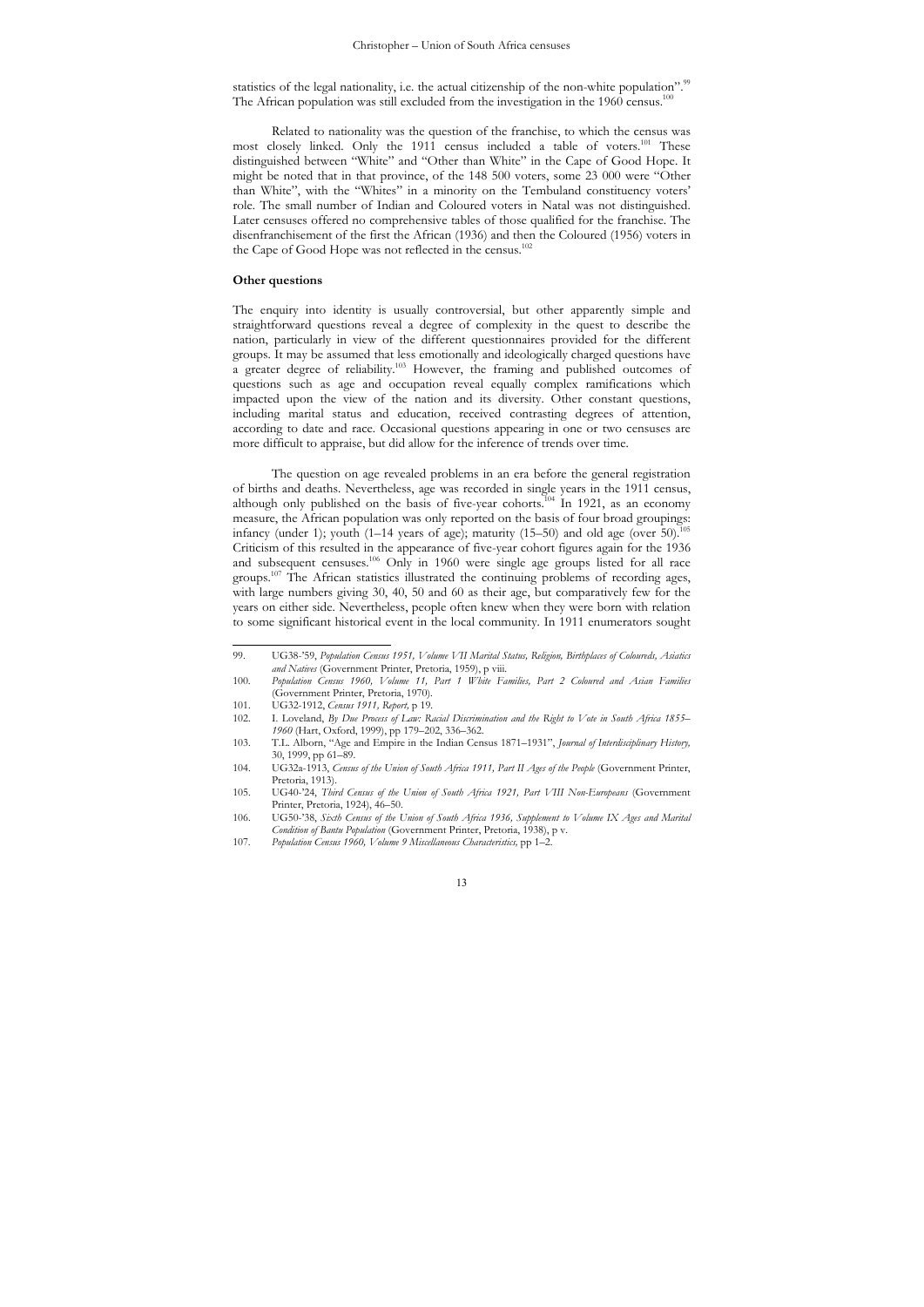statistics of the legal nationality, i.e. the actual citizenship of the non-white population".<sup>99</sup> The African population was still excluded from the investigation in the 1960 census.<sup>10</sup>

Related to nationality was the question of the franchise, to which the census was most closely linked. Only the 1911 census included a table of voters.<sup>101</sup> These distinguished between "White" and "Other than White" in the Cape of Good Hope. It might be noted that in that province, of the 148 500 voters, some 23 000 were "Other than White", with the "Whites" in a minority on the Tembuland constituency voters' role. The small number of Indian and Coloured voters in Natal was not distinguished. Later censuses offered no comprehensive tables of those qualified for the franchise. The disenfranchisement of the first the African (1936) and then the Coloured (1956) voters in the Cape of Good Hope was not reflected in the census.<sup>102</sup>

### **Other questions**

 $\overline{a}$ 

The enquiry into identity is usually controversial, but other apparently simple and straightforward questions reveal a degree of complexity in the quest to describe the nation, particularly in view of the different questionnaires provided for the different groups. It may be assumed that less emotionally and ideologically charged questions have a greater degree of reliability.103 However, the framing and published outcomes of questions such as age and occupation reveal equally complex ramifications which impacted upon the view of the nation and its diversity. Other constant questions, including marital status and education, received contrasting degrees of attention, according to date and race. Occasional questions appearing in one or two censuses are more difficult to appraise, but did allow for the inference of trends over time.

The question on age revealed problems in an era before the general registration of births and deaths. Nevertheless, age was recorded in single years in the 1911 census, although only published on the basis of five-year cohorts.104 In 1921, as an economy measure, the African population was only reported on the basis of four broad groupings: infancy (under 1); youth (1–14 years of age); maturity (15–50) and old age (over  $50$ ).<sup>1</sup> Criticism of this resulted in the appearance of five-year cohort figures again for the 1936 and subsequent censuses.106 Only in 1960 were single age groups listed for all race groups.<sup>107</sup> The African statistics illustrated the continuing problems of recording ages, with large numbers giving 30, 40, 50 and 60 as their age, but comparatively few for the years on either side. Nevertheless, people often knew when they were born with relation to some significant historical event in the local community. In 1911 enumerators sought

<sup>99.</sup> UG38-'59, *Population Census 1951, Volume VII Marital Status, Religion, Birthplaces of Coloureds, Asiatics and Natives* (Government Printer, Pretoria, 1959), p viii.

<sup>100.</sup> *Population Census 1960, Volume 11, Part 1 White Families, Part 2 Coloured and Asian Families* (Government Printer, Pretoria, 1970).

<sup>101.</sup> UG32-1912, *Census 1911*, *Report*, p 19<br>102. I. Loveland, *By Due Process of Law: R* 

<sup>102.</sup> I. Loveland, *By Due Process of Law: Racial Discrimination and the Right to Vote in South Africa 1855– 1960* (Hart, Oxford, 1999), pp 179*–*202, 336*–*362.

<sup>103.</sup> T.L. Alborn, "Age and Empire in the Indian Census 1871*–*1931", *Journal of Interdisciplinary History,* 30, 1999, pp 61*–*89.

<sup>104.</sup> UG32a-1913, *Census of the Union of South Africa 1911, Part II Ages of the People* (Government Printer, Pretoria, 1913).

<sup>105.</sup> UG40-'24, *Third Census of the Union of South Africa 1921, Part VIII Non-Europeans* (Government Printer, Pretoria, 1924), 46*–*50.

<sup>106.</sup> UG50-'38, *Sixth Census of the Union of South Africa 1936, Supplement to Volume IX Ages and Marital Condition of Bantu Population* (Government Printer, Pretoria, 1938), p v.

<sup>107.</sup> *Population Census 1960, Volume 9 Miscellaneous Characteristics,* pp 1*–*2.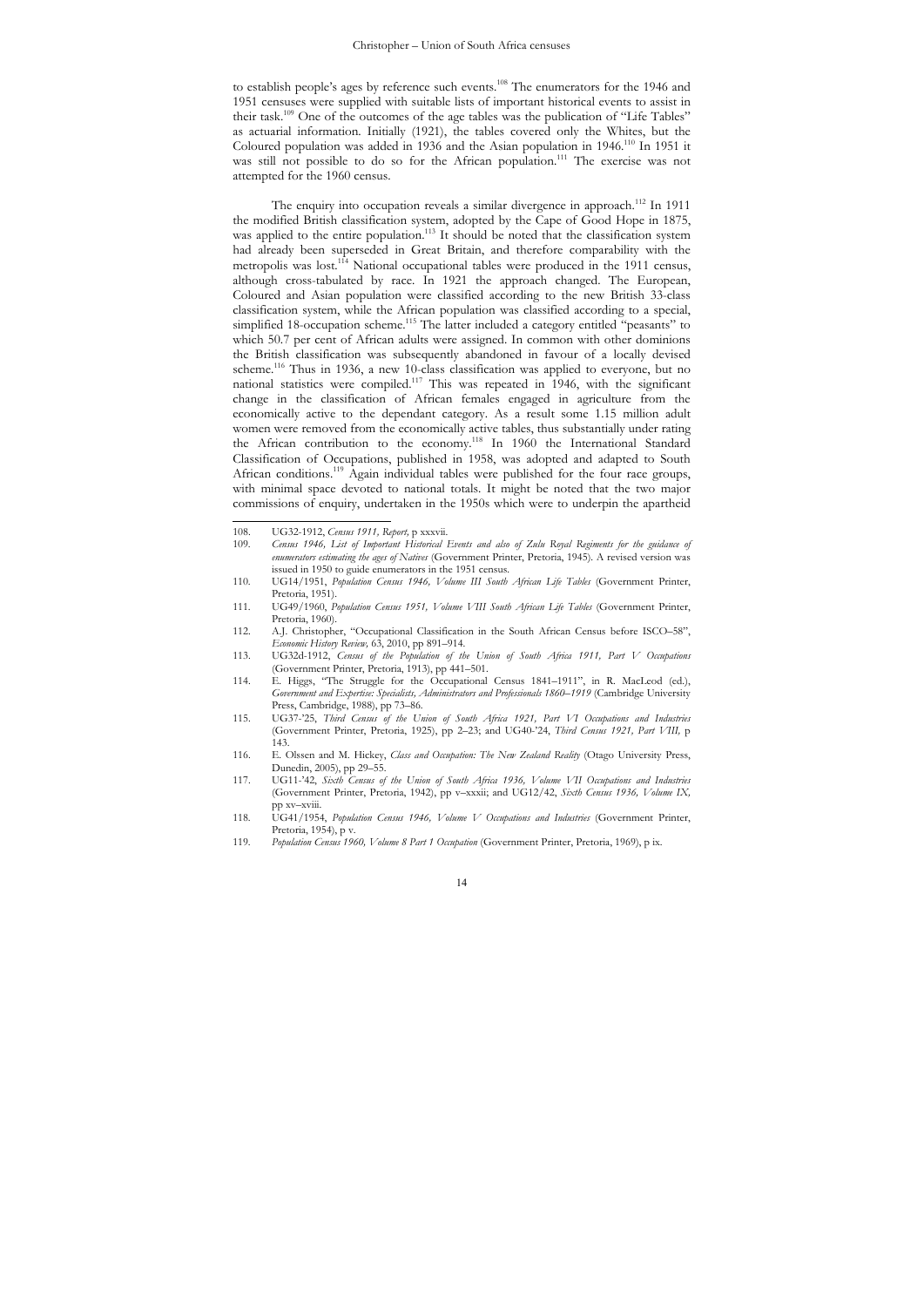to establish people's ages by reference such events.<sup>108</sup> The enumerators for the 1946 and 1951 censuses were supplied with suitable lists of important historical events to assist in their task.109 One of the outcomes of the age tables was the publication of "Life Tables" as actuarial information. Initially (1921), the tables covered only the Whites, but the Coloured population was added in 1936 and the Asian population in 1946.110 In 1951 it was still not possible to do so for the African population.<sup>111</sup> The exercise was not attempted for the 1960 census.

The enquiry into occupation reveals a similar divergence in approach.<sup>112</sup> In 1911 the modified British classification system, adopted by the Cape of Good Hope in 1875, was applied to the entire population.<sup>113</sup> It should be noted that the classification system had already been superseded in Great Britain, and therefore comparability with the metropolis was lost.<sup>114</sup> National occupational tables were produced in the 1911 census, although cross-tabulated by race. In 1921 the approach changed. The European, Coloured and Asian population were classified according to the new British 33-class classification system, while the African population was classified according to a special, simplified 18-occupation scheme.<sup>115</sup> The latter included a category entitled "peasants" to which 50.7 per cent of African adults were assigned. In common with other dominions the British classification was subsequently abandoned in favour of a locally devised scheme.<sup>116</sup> Thus in 1936, a new 10-class classification was applied to everyone, but no national statistics were compiled.117 This was repeated in 1946, with the significant change in the classification of African females engaged in agriculture from the economically active to the dependant category. As a result some 1.15 million adult women were removed from the economically active tables, thus substantially under rating the African contribution to the economy.<sup>118</sup> In 1960 the International Standard Classification of Occupations, published in 1958, was adopted and adapted to South African conditions.119 Again individual tables were published for the four race groups, with minimal space devoted to national totals. It might be noted that the two major commissions of enquiry, undertaken in the 1950s which were to underpin the apartheid

 $\overline{a}$ 108. UG32-1912, *Census 1911, Report,* p xxxvii.

<sup>109.</sup> *Census 1946, List of Important Historical Events and also of Zulu Royal Regiments for the guidance of enumerators estimating the ages of Natives* (Government Printer, Pretoria, 1945). A revised version was issued in 1950 to guide enumerators in the 1951 census.

<sup>110.</sup> UG14/1951, *Population Census 1946, Volume III South African Life Tables* (Government Printer, Pretoria, 1951).

<sup>111.</sup> UG49/1960, *Population Census 1951, Volume VIII South African Life Tables* (Government Printer, Pretoria, 1960).

<sup>112.</sup> A.J. Christopher, "Occupational Classification in the South African Census before ISCO*–*58", *Economic History Review,* 63, 2010, pp 891*–*914.

<sup>113.</sup> UG32d-1912, *Census of the Population of the Union of South Africa 1911, Part V Occupations* (Government Printer, Pretoria, 1913), pp 441*–*501.

<sup>114.</sup> E. Higgs, "The Struggle for the Occupational Census 1841*–*1911", in R. MacLeod (ed.), *Government and Expertise: Specialists, Administrators and Professionals 1860–1919* (Cambridge University Press, Cambridge, 1988), pp 73*–*86.

<sup>115.</sup> UG37-'25, *Third Census of the Union of South Africa 1921, Part VI Occupations and Industries* (Government Printer, Pretoria, 1925), pp 2*–*23; and UG40-'24, *Third Census 1921, Part VIII,* p 143.

<sup>116.</sup> E. Olssen and M. Hickey, *Class and Occupation: The New Zealand Reality* (Otago University Press, Dunedin, 2005), pp 29*–*55. 117. UG11-'42, *Sixth Census of the Union of South Africa 1936, Volume VII Occupations and Industries*

<sup>(</sup>Government Printer, Pretoria, 1942), pp v*–*xxxii; and UG12/42, *Sixth Census 1936, Volume IX,*  pp xv*–*xviii.

<sup>118.</sup> UG41/1954, *Population Census 1946, Volume V Occupations and Industries* (Government Printer, Pretoria, 1954), p v.

<sup>119.</sup> *Population Census 1960, Volume 8 Part 1 Occupation* (Government Printer, Pretoria, 1969), p ix.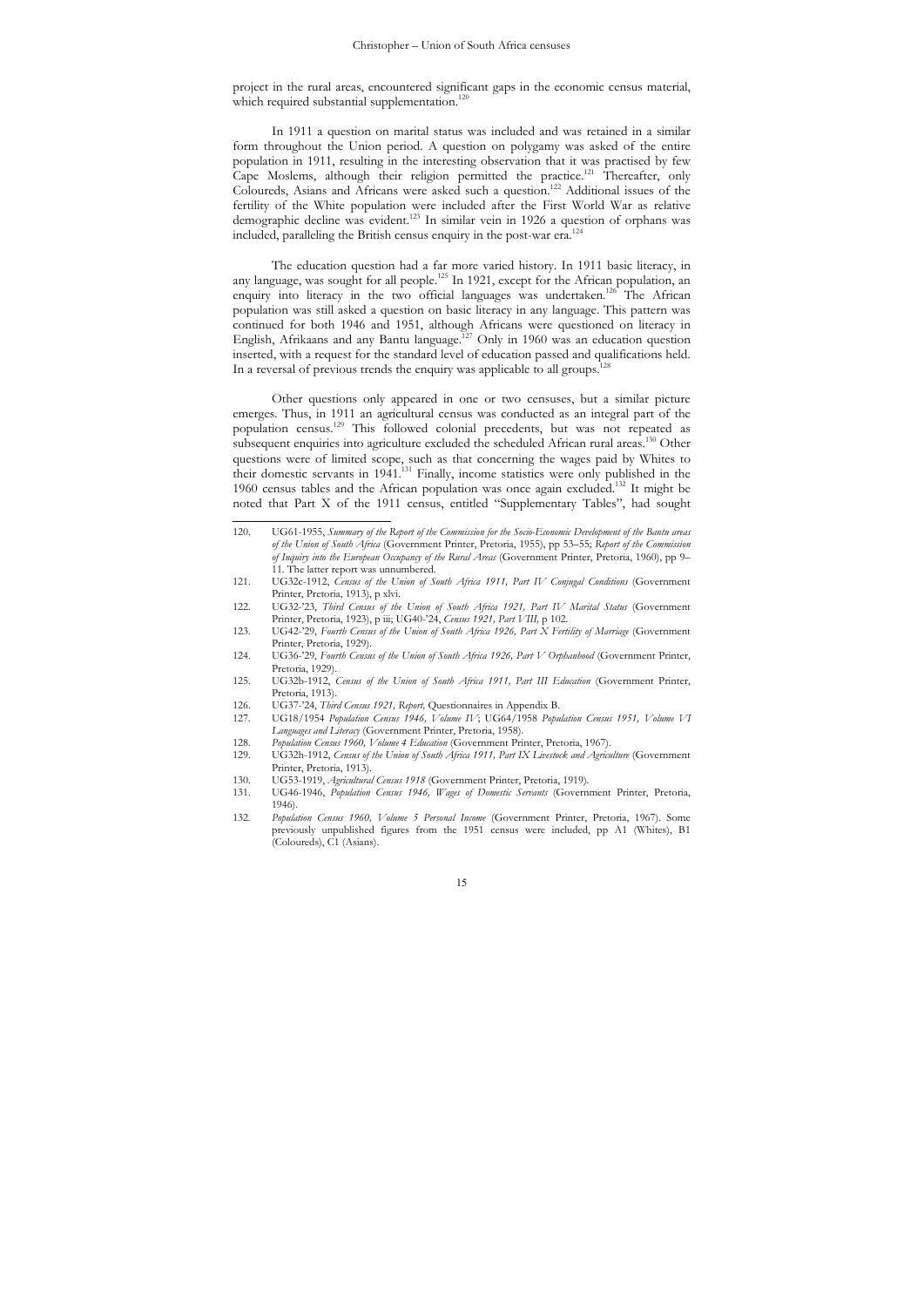project in the rural areas, encountered significant gaps in the economic census material, which required substantial supplementation.<sup>120</sup>

In 1911 a question on marital status was included and was retained in a similar form throughout the Union period. A question on polygamy was asked of the entire population in 1911, resulting in the interesting observation that it was practised by few Cape Moslems, although their religion permitted the practice.121 Thereafter, only Coloureds, Asians and Africans were asked such a question.<sup>122</sup> Additional issues of the fertility of the White population were included after the First World War as relative demographic decline was evident.123 In similar vein in 1926 a question of orphans was included, paralleling the British census enquiry in the post-war era.

The education question had a far more varied history. In 1911 basic literacy, in any language, was sought for all people.<sup>125</sup> In 1921, except for the African population, an enquiry into literacy in the two official languages was undertaken.<sup>126</sup> The African population was still asked a question on basic literacy in any language. This pattern was continued for both 1946 and 1951, although Africans were questioned on literacy in English, Afrikaans and any Bantu language.<sup>127</sup> Only in 1960 was an education question inserted, with a request for the standard level of education passed and qualifications held. In a reversal of previous trends the enquiry was applicable to all groups.<sup>1</sup>

Other questions only appeared in one or two censuses, but a similar picture emerges. Thus, in 1911 an agricultural census was conducted as an integral part of the population census.129 This followed colonial precedents, but was not repeated as subsequent enquiries into agriculture excluded the scheduled African rural areas.<sup>130</sup> Other questions were of limited scope, such as that concerning the wages paid by Whites to their domestic servants in 1941.<sup>131</sup> Finally, income statistics were only published in the 1960 census tables and the African population was once again excluded.132 It might be noted that Part X of the 1911 census, entitled "Supplementary Tables", had sought

 $\overline{a}$ 120. UG61-1955, *Summary of the Report of the Commission for the Socio-Economic Development of the Bantu areas of the Union of South Africa* (Government Printer, Pretoria, 1955), pp 53*–*55; *Report of the Commission of Inquiry into the European Occupancy of the Rural Areas* (Government Printer, Pretoria, 1960), pp 9*–* 11. The latter report was unnumbered.

<sup>121.</sup> UG32c-1912, *Census of the Union of South Africa 1911, Part IV Conjugal Conditions* (Government Printer, Pretoria, 1913), p xlvi.

<sup>122.</sup> UG32-'23, *Third Census of the Union of South Africa 1921, Part IV Marital Status* (Government Printer, Pretoria, 1923), p iii; UG40-'24, *Census 1921, Part VIII, p* 102.<br>123. UG42-'29, *Fourth Census of the Union of South Africa 1926, Part X Fertility of Marriage* (Government

Printer, Pretoria, 1929).

<sup>124.</sup> UG36-'29, *Fourth Census of the Union of South Africa 1926, Part V Orphanhood* (Government Printer, Pretoria, 1929).

<sup>125.</sup> UG32b-1912, *Census of the Union of South Africa 1911, Part III Education* (Government Printer, Pretoria, 1913).

<sup>126.</sup> UG37-'24, *Third Census 1921, Report,* Questionnaires in Appendix B. 127. UG18/1954 *Population Census 1946, Volume IV*; UG64/1958 *Population Census 1951, Volume VI Languages and Literacy* (Government Printer, Pretoria, 1958).

<sup>128.</sup> *Population Census 1960, Volume 4 Education* (Government Printer, Pretoria, 1967).

<sup>129.</sup> UG32h-1912, *Census of the Union of South Africa 1911, Part IX Livestock and Agriculture* (Government Printer, Pretoria, 1913).

<sup>130.</sup> UG53-1919, *Agricultural Census 1918* (Government Printer, Pretoria, 1919). 131. UG46-1946, *Population Census 1946, Wages of Domestic Servants* (Government Printer, Pretoria, 1946).

<sup>132.</sup> *Population Census 1960, Volume 5 Personal Income* (Government Printer, Pretoria, 1967). Some previously unpublished figures from the 1951 census were included, pp A1 (Whites), B1 (Coloureds), C1 (Asians).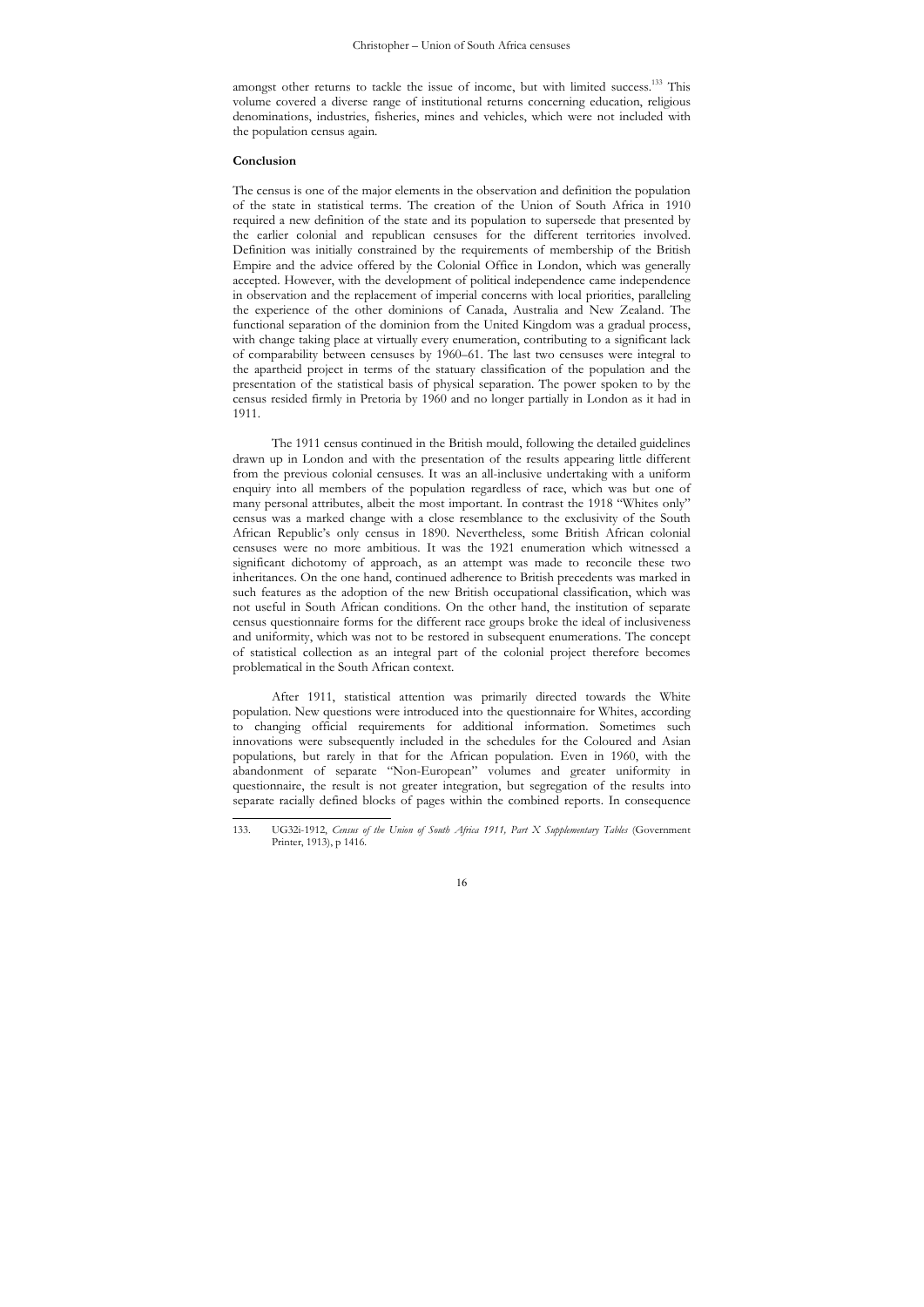amongst other returns to tackle the issue of income, but with limited success.<sup>133</sup> This volume covered a diverse range of institutional returns concerning education, religious denominations, industries, fisheries, mines and vehicles, which were not included with the population census again.

#### **Conclusion**

The census is one of the major elements in the observation and definition the population of the state in statistical terms. The creation of the Union of South Africa in 1910 required a new definition of the state and its population to supersede that presented by the earlier colonial and republican censuses for the different territories involved. Definition was initially constrained by the requirements of membership of the British Empire and the advice offered by the Colonial Office in London, which was generally accepted. However, with the development of political independence came independence in observation and the replacement of imperial concerns with local priorities, paralleling the experience of the other dominions of Canada, Australia and New Zealand. The functional separation of the dominion from the United Kingdom was a gradual process, with change taking place at virtually every enumeration, contributing to a significant lack of comparability between censuses by 1960–61. The last two censuses were integral to the apartheid project in terms of the statuary classification of the population and the presentation of the statistical basis of physical separation. The power spoken to by the census resided firmly in Pretoria by 1960 and no longer partially in London as it had in 1911.

The 1911 census continued in the British mould, following the detailed guidelines drawn up in London and with the presentation of the results appearing little different from the previous colonial censuses. It was an all-inclusive undertaking with a uniform enquiry into all members of the population regardless of race, which was but one of many personal attributes, albeit the most important. In contrast the 1918 "Whites only" census was a marked change with a close resemblance to the exclusivity of the South African Republic's only census in 1890. Nevertheless, some British African colonial censuses were no more ambitious. It was the 1921 enumeration which witnessed a significant dichotomy of approach, as an attempt was made to reconcile these two inheritances. On the one hand, continued adherence to British precedents was marked in such features as the adoption of the new British occupational classification, which was not useful in South African conditions. On the other hand, the institution of separate census questionnaire forms for the different race groups broke the ideal of inclusiveness and uniformity, which was not to be restored in subsequent enumerations. The concept of statistical collection as an integral part of the colonial project therefore becomes problematical in the South African context.

After 1911, statistical attention was primarily directed towards the White population. New questions were introduced into the questionnaire for Whites, according to changing official requirements for additional information. Sometimes such innovations were subsequently included in the schedules for the Coloured and Asian populations, but rarely in that for the African population. Even in 1960, with the abandonment of separate "Non-European" volumes and greater uniformity in questionnaire, the result is not greater integration, but segregation of the results into separate racially defined blocks of pages within the combined reports. In consequence

 $133$ 133. UG32i-1912, *Census of the Union of South Africa 1911, Part X Supplementary Tables* (Government Printer, 1913), p 1416.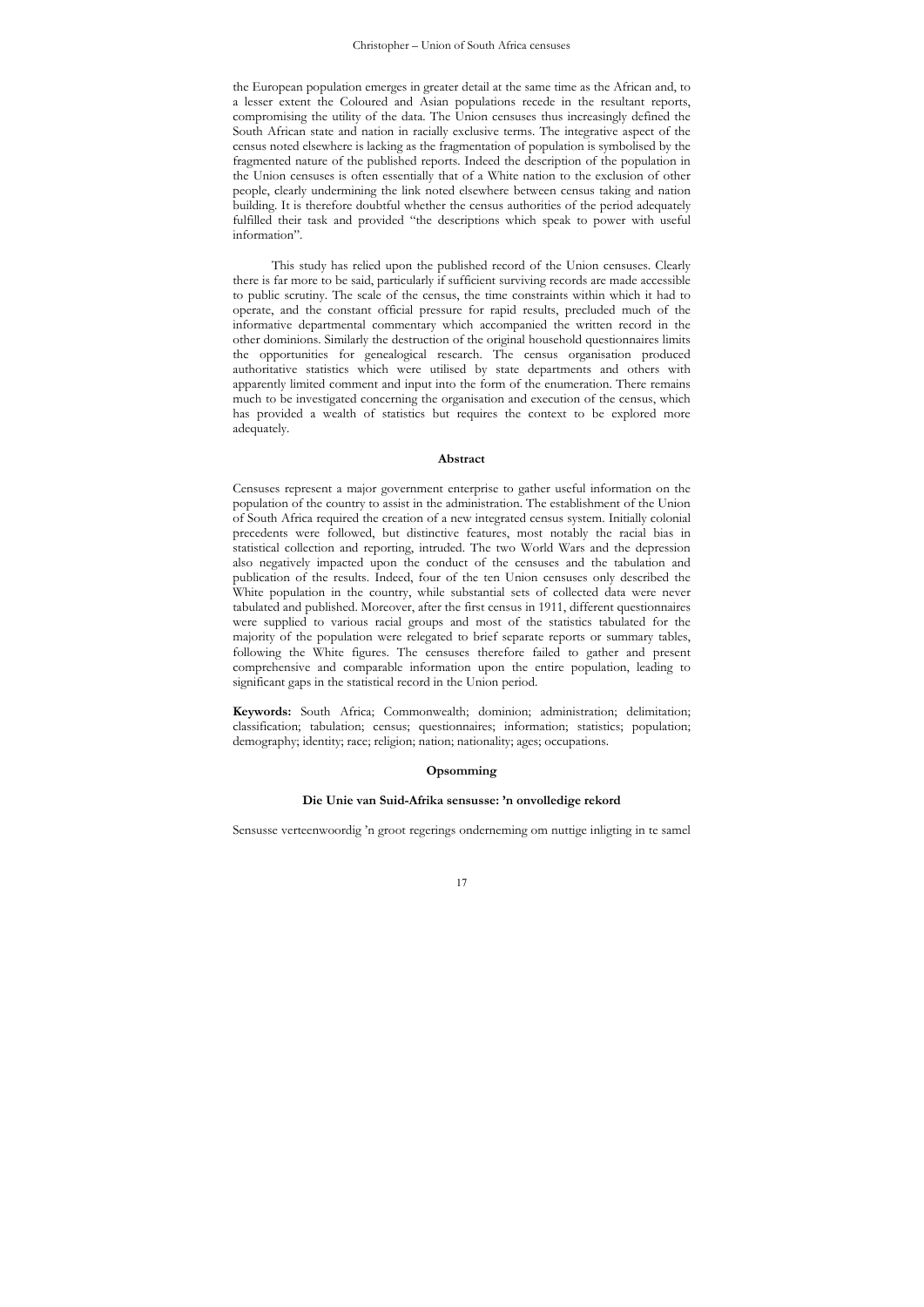the European population emerges in greater detail at the same time as the African and, to a lesser extent the Coloured and Asian populations recede in the resultant reports, compromising the utility of the data. The Union censuses thus increasingly defined the South African state and nation in racially exclusive terms. The integrative aspect of the census noted elsewhere is lacking as the fragmentation of population is symbolised by the fragmented nature of the published reports. Indeed the description of the population in the Union censuses is often essentially that of a White nation to the exclusion of other people, clearly undermining the link noted elsewhere between census taking and nation building. It is therefore doubtful whether the census authorities of the period adequately fulfilled their task and provided "the descriptions which speak to power with useful information".

This study has relied upon the published record of the Union censuses. Clearly there is far more to be said, particularly if sufficient surviving records are made accessible to public scrutiny. The scale of the census, the time constraints within which it had to operate, and the constant official pressure for rapid results, precluded much of the informative departmental commentary which accompanied the written record in the other dominions. Similarly the destruction of the original household questionnaires limits the opportunities for genealogical research. The census organisation produced authoritative statistics which were utilised by state departments and others with apparently limited comment and input into the form of the enumeration. There remains much to be investigated concerning the organisation and execution of the census, which has provided a wealth of statistics but requires the context to be explored more adequately.

#### **Abstract**

Censuses represent a major government enterprise to gather useful information on the population of the country to assist in the administration. The establishment of the Union of South Africa required the creation of a new integrated census system. Initially colonial precedents were followed, but distinctive features, most notably the racial bias in statistical collection and reporting, intruded. The two World Wars and the depression also negatively impacted upon the conduct of the censuses and the tabulation and publication of the results. Indeed, four of the ten Union censuses only described the White population in the country, while substantial sets of collected data were never tabulated and published. Moreover, after the first census in 1911, different questionnaires were supplied to various racial groups and most of the statistics tabulated for the majority of the population were relegated to brief separate reports or summary tables, following the White figures. The censuses therefore failed to gather and present comprehensive and comparable information upon the entire population, leading to significant gaps in the statistical record in the Union period.

**Keywords:** South Africa; Commonwealth; dominion; administration; delimitation; classification; tabulation; census; questionnaires; information; statistics; population; demography; identity; race; religion; nation; nationality; ages; occupations.

## **Opsomming**

### **Die Unie van Suid-Afrika sensusse: 'n onvolledige rekord**

Sensusse verteenwoordig 'n groot regerings onderneming om nuttige inligting in te samel